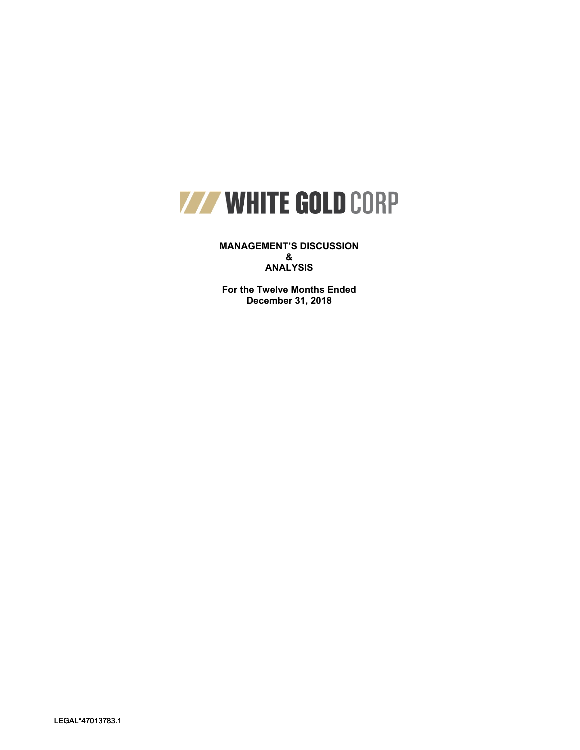

**MANAGEMENT'S DISCUSSION & ANALYSIS**

**For the Twelve Months Ended December 31, 2018**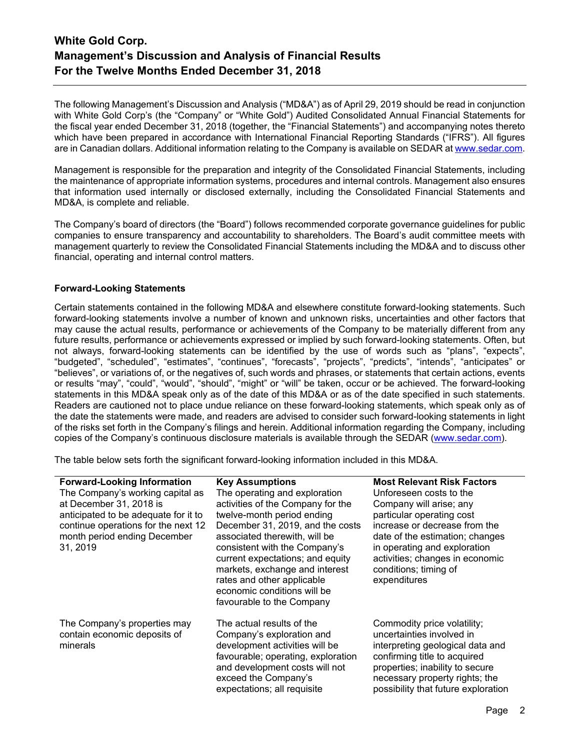The following Management's Discussion and Analysis ("MD&A") as of April 29, 2019 should be read in conjunction with White Gold Corp's (the "Company" or "White Gold") Audited Consolidated Annual Financial Statements for the fiscal year ended December 31, 2018 (together, the "Financial Statements") and accompanying notes thereto which have been prepared in accordance with International Financial Reporting Standards ("IFRS"). All figures are in Canadian dollars. Additional information relating to the Company is available on SEDAR a[t www.sedar.com.](http://www.sedar.com/)

Management is responsible for the preparation and integrity of the Consolidated Financial Statements, including the maintenance of appropriate information systems, procedures and internal controls. Management also ensures that information used internally or disclosed externally, including the Consolidated Financial Statements and MD&A, is complete and reliable.

The Company's board of directors (the "Board") follows recommended corporate governance guidelines for public companies to ensure transparency and accountability to shareholders. The Board's audit committee meets with management quarterly to review the Consolidated Financial Statements including the MD&A and to discuss other financial, operating and internal control matters.

## **Forward-Looking Statements**

Certain statements contained in the following MD&A and elsewhere constitute forward-looking statements. Such forward-looking statements involve a number of known and unknown risks, uncertainties and other factors that may cause the actual results, performance or achievements of the Company to be materially different from any future results, performance or achievements expressed or implied by such forward-looking statements. Often, but not always, forward-looking statements can be identified by the use of words such as "plans", "expects", "budgeted", "scheduled", "estimates", "continues", "forecasts", "projects", "predicts", "intends", "anticipates" or "believes", or variations of, or the negatives of, such words and phrases, or statements that certain actions, events or results "may", "could", "would", "should", "might" or "will" be taken, occur or be achieved. The forward-looking statements in this MD&A speak only as of the date of this MD&A or as of the date specified in such statements. Readers are cautioned not to place undue reliance on these forward-looking statements, which speak only as of the date the statements were made, and readers are advised to consider such forward-looking statements in light of the risks set forth in the Company's filings and herein. Additional information regarding the Company, including copies of the Company's continuous disclosure materials is available through the SEDAR [\(www.sedar.com\)](http://www.sedar.com/).

The table below sets forth the significant forward-looking information included in this MD&A.

| <b>Forward-Looking Information</b>   | <b>Key Assumptions</b>                                    | <b>Most Relevant Risk Factors</b>   |
|--------------------------------------|-----------------------------------------------------------|-------------------------------------|
| The Company's working capital as     | The operating and exploration                             | Unforeseen costs to the             |
| at December 31, 2018 is              | activities of the Company for the                         | Company will arise; any             |
| anticipated to be adequate for it to | twelve-month period ending                                | particular operating cost           |
| continue operations for the next 12  | December 31, 2019, and the costs                          | increase or decrease from the       |
| month period ending December         | associated therewith, will be                             | date of the estimation; changes     |
| 31, 2019                             | consistent with the Company's                             | in operating and exploration        |
|                                      | current expectations; and equity                          | activities; changes in economic     |
|                                      | markets, exchange and interest                            | conditions; timing of               |
|                                      | rates and other applicable<br>economic conditions will be | expenditures                        |
|                                      | favourable to the Company                                 |                                     |
|                                      |                                                           |                                     |
| The Company's properties may         | The actual results of the                                 | Commodity price volatility;         |
| contain economic deposits of         | Company's exploration and                                 | uncertainties involved in           |
| minerals                             | development activities will be                            | interpreting geological data and    |
|                                      | favourable; operating, exploration                        | confirming title to acquired        |
|                                      | and development costs will not                            | properties; inability to secure     |
|                                      | exceed the Company's                                      | necessary property rights; the      |
|                                      | expectations; all requisite                               | possibility that future exploration |
|                                      |                                                           |                                     |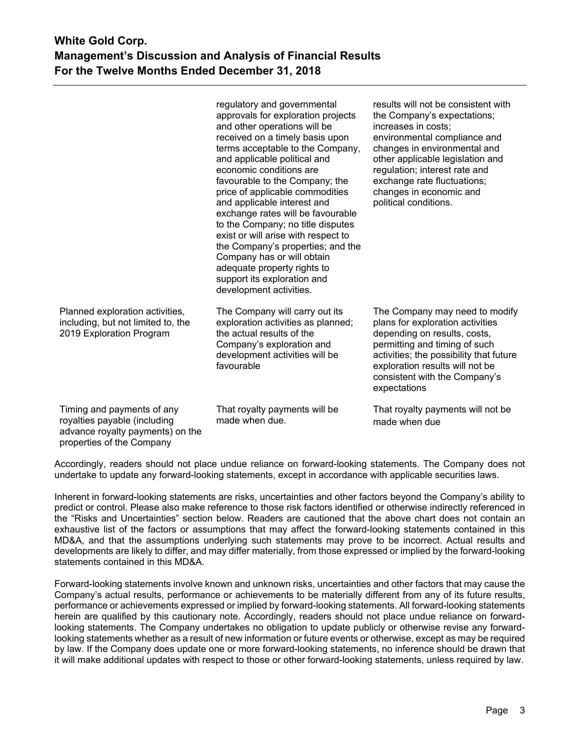|                                                                                                                             | regulatory and governmental<br>approvals for exploration projects<br>and other operations will be<br>received on a timely basis upon<br>terms acceptable to the Company,<br>and applicable political and<br>economic conditions are<br>favourable to the Company; the<br>price of applicable commodities<br>and applicable interest and<br>exchange rates will be favourable<br>to the Company; no title disputes<br>exist or will arise with respect to<br>the Company's properties; and the<br>Company has or will obtain<br>adequate property rights to<br>support its exploration and<br>development activities. | results will not be consistent with<br>the Company's expectations;<br>increases in costs;<br>environmental compliance and<br>changes in environmental and<br>other applicable legislation and<br>regulation; interest rate and<br>exchange rate fluctuations;<br>changes in economic and<br>political conditions. |
|-----------------------------------------------------------------------------------------------------------------------------|----------------------------------------------------------------------------------------------------------------------------------------------------------------------------------------------------------------------------------------------------------------------------------------------------------------------------------------------------------------------------------------------------------------------------------------------------------------------------------------------------------------------------------------------------------------------------------------------------------------------|-------------------------------------------------------------------------------------------------------------------------------------------------------------------------------------------------------------------------------------------------------------------------------------------------------------------|
| Planned exploration activities,<br>including, but not limited to, the<br>2019 Exploration Program                           | The Company will carry out its<br>exploration activities as planned;<br>the actual results of the<br>Company's exploration and<br>development activities will be<br>favourable                                                                                                                                                                                                                                                                                                                                                                                                                                       | The Company may need to modify<br>plans for exploration activities<br>depending on results, costs,<br>permitting and timing of such<br>activities; the possibility that future<br>exploration results will not be<br>consistent with the Company's<br>expectations                                                |
| Timing and payments of any<br>royalties payable (including<br>advance royalty payments) on the<br>properties of the Company | That royalty payments will be<br>made when due.                                                                                                                                                                                                                                                                                                                                                                                                                                                                                                                                                                      | That royalty payments will not be<br>made when due                                                                                                                                                                                                                                                                |

Accordingly, readers should not place undue reliance on forward-looking statements. The Company does not undertake to update any forward-looking statements, except in accordance with applicable securities laws.

Inherent in forward-looking statements are risks, uncertainties and other factors beyond the Company's ability to predict or control. Please also make reference to those risk factors identified or otherwise indirectly referenced in the "Risks and Uncertainties" section below. Readers are cautioned that the above chart does not contain an exhaustive list of the factors or assumptions that may affect the forward-looking statements contained in this MD&A, and that the assumptions underlying such statements may prove to be incorrect. Actual results and developments are likely to differ, and may differ materially, from those expressed or implied by the forward-looking statements contained in this MD&A.

Forward-looking statements involve known and unknown risks, uncertainties and other factors that may cause the Company's actual results, performance or achievements to be materially different from any of its future results, performance or achievements expressed or implied by forward-looking statements. All forward-looking statements herein are qualified by this cautionary note. Accordingly, readers should not place undue reliance on forwardlooking statements. The Company undertakes no obligation to update publicly or otherwise revise any forwardlooking statements whether as a result of new information or future events or otherwise, except as may be required by law. If the Company does update one or more forward-looking statements, no inference should be drawn that it will make additional updates with respect to those or other forward-looking statements, unless required by law.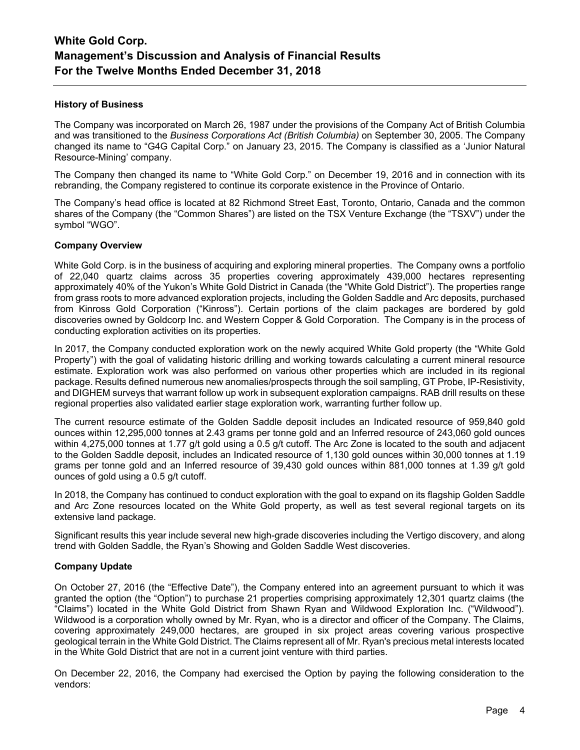## **History of Business**

The Company was incorporated on March 26, 1987 under the provisions of the Company Act of British Columbia and was transitioned to the *Business Corporations Act (British Columbia)* on September 30, 2005. The Company changed its name to "G4G Capital Corp." on January 23, 2015. The Company is classified as a 'Junior Natural Resource-Mining' company.

The Company then changed its name to "White Gold Corp." on December 19, 2016 and in connection with its rebranding, the Company registered to continue its corporate existence in the Province of Ontario.

The Company's head office is located at 82 Richmond Street East, Toronto, Ontario, Canada and the common shares of the Company (the "Common Shares") are listed on the TSX Venture Exchange (the "TSXV") under the symbol "WGO".

### **Company Overview**

White Gold Corp. is in the business of acquiring and exploring mineral properties. The Company owns a portfolio of 22,040 quartz claims across 35 properties covering approximately 439,000 hectares representing approximately 40% of the Yukon's White Gold District in Canada (the "White Gold District"). The properties range from grass roots to more advanced exploration projects, including the Golden Saddle and Arc deposits, purchased from Kinross Gold Corporation ("Kinross"). Certain portions of the claim packages are bordered by gold discoveries owned by Goldcorp Inc. and Western Copper & Gold Corporation. The Company is in the process of conducting exploration activities on its properties.

In 2017, the Company conducted exploration work on the newly acquired White Gold property (the "White Gold Property") with the goal of validating historic drilling and working towards calculating a current mineral resource estimate. Exploration work was also performed on various other properties which are included in its regional package. Results defined numerous new anomalies/prospects through the soil sampling, GT Probe, IP-Resistivity, and DIGHEM surveys that warrant follow up work in subsequent exploration campaigns. RAB drill results on these regional properties also validated earlier stage exploration work, warranting further follow up.

The current resource estimate of the Golden Saddle deposit includes an Indicated resource of 959,840 gold ounces within 12,295,000 tonnes at 2.43 grams per tonne gold and an Inferred resource of 243,060 gold ounces within 4,275,000 tonnes at 1.77 g/t gold using a 0.5 g/t cutoff. The Arc Zone is located to the south and adjacent to the Golden Saddle deposit, includes an Indicated resource of 1,130 gold ounces within 30,000 tonnes at 1.19 grams per tonne gold and an Inferred resource of 39,430 gold ounces within 881,000 tonnes at 1.39 g/t gold ounces of gold using a 0.5 g/t cutoff.

In 2018, the Company has continued to conduct exploration with the goal to expand on its flagship Golden Saddle and Arc Zone resources located on the White Gold property, as well as test several regional targets on its extensive land package.

Significant results this year include several new high-grade discoveries including the Vertigo discovery, and along trend with Golden Saddle, the Ryan's Showing and Golden Saddle West discoveries.

### **Company Update**

On October 27, 2016 (the "Effective Date"), the Company entered into an agreement pursuant to which it was granted the option (the "Option") to purchase 21 properties comprising approximately 12,301 quartz claims (the "Claims") located in the White Gold District from Shawn Ryan and Wildwood Exploration Inc. ("Wildwood"). Wildwood is a corporation wholly owned by Mr. Ryan, who is a director and officer of the Company. The Claims, covering approximately 249,000 hectares, are grouped in six project areas covering various prospective geological terrain in the White Gold District. The Claims represent all of Mr. Ryan's precious metal interests located in the White Gold District that are not in a current joint venture with third parties.

On December 22, 2016, the Company had exercised the Option by paying the following consideration to the vendors: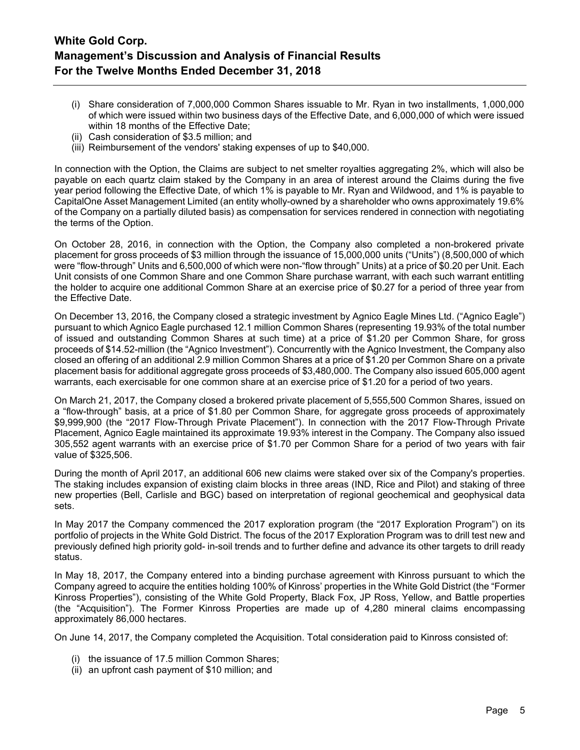- (i) Share consideration of 7,000,000 Common Shares issuable to Mr. Ryan in two installments, 1,000,000 of which were issued within two business days of the Effective Date, and 6,000,000 of which were issued within 18 months of the Effective Date;
- (ii) Cash consideration of \$3.5 million; and
- (iii) Reimbursement of the vendors' staking expenses of up to \$40,000.

In connection with the Option, the Claims are subject to net smelter royalties aggregating 2%, which will also be payable on each quartz claim staked by the Company in an area of interest around the Claims during the five year period following the Effective Date, of which 1% is payable to Mr. Ryan and Wildwood, and 1% is payable to CapitalOne Asset Management Limited (an entity wholly-owned by a shareholder who owns approximately 19.6% of the Company on a partially diluted basis) as compensation for services rendered in connection with negotiating the terms of the Option.

On October 28, 2016, in connection with the Option, the Company also completed a non-brokered private placement for gross proceeds of \$3 million through the issuance of 15,000,000 units ("Units") (8,500,000 of which were "flow-through" Units and 6,500,000 of which were non-"flow through" Units) at a price of \$0.20 per Unit. Each Unit consists of one Common Share and one Common Share purchase warrant, with each such warrant entitling the holder to acquire one additional Common Share at an exercise price of \$0.27 for a period of three year from the Effective Date.

On December 13, 2016, the Company closed a strategic investment by Agnico Eagle Mines Ltd. ("Agnico Eagle") pursuant to which Agnico Eagle purchased 12.1 million Common Shares (representing 19.93% of the total number of issued and outstanding Common Shares at such time) at a price of \$1.20 per Common Share, for gross proceeds of \$14.52-million (the "Agnico Investment"). Concurrently with the Agnico Investment, the Company also closed an offering of an additional 2.9 million Common Shares at a price of \$1.20 per Common Share on a private placement basis for additional aggregate gross proceeds of \$3,480,000. The Company also issued 605,000 agent warrants, each exercisable for one common share at an exercise price of \$1.20 for a period of two years.

On March 21, 2017, the Company closed a brokered private placement of 5,555,500 Common Shares, issued on a "flow-through" basis, at a price of \$1.80 per Common Share, for aggregate gross proceeds of approximately \$9,999,900 (the "2017 Flow-Through Private Placement"). In connection with the 2017 Flow-Through Private Placement, Agnico Eagle maintained its approximate 19.93% interest in the Company. The Company also issued 305,552 agent warrants with an exercise price of \$1.70 per Common Share for a period of two years with fair value of \$325,506.

During the month of April 2017, an additional 606 new claims were staked over six of the Company's properties. The staking includes expansion of existing claim blocks in three areas (IND, Rice and Pilot) and staking of three new properties (Bell, Carlisle and BGC) based on interpretation of regional geochemical and geophysical data sets.

In May 2017 the Company commenced the 2017 exploration program (the "2017 Exploration Program") on its portfolio of projects in the White Gold District. The focus of the 2017 Exploration Program was to drill test new and previously defined high priority gold- in-soil trends and to further define and advance its other targets to drill ready status.

In May 18, 2017, the Company entered into a binding purchase agreement with Kinross pursuant to which the Company agreed to acquire the entities holding 100% of Kinross' properties in the White Gold District (the "Former Kinross Properties"), consisting of the White Gold Property, Black Fox, JP Ross, Yellow, and Battle properties (the "Acquisition"). The Former Kinross Properties are made up of 4,280 mineral claims encompassing approximately 86,000 hectares.

On June 14, 2017, the Company completed the Acquisition. Total consideration paid to Kinross consisted of:

- (i) the issuance of 17.5 million Common Shares;
- (ii) an upfront cash payment of \$10 million; and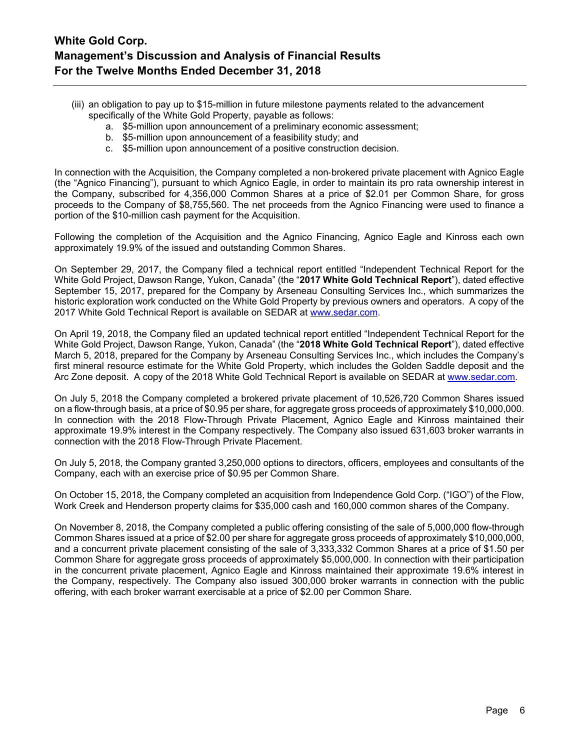- (iii) an obligation to pay up to \$15-million in future milestone payments related to the advancement specifically of the White Gold Property, payable as follows:
	- a. \$5-million upon announcement of a preliminary economic assessment;
	- b. \$5-million upon announcement of a feasibility study; and
	- c. \$5-million upon announcement of a positive construction decision.

In connection with the Acquisition, the Company completed a non‐brokered private placement with Agnico Eagle (the "Agnico Financing"), pursuant to which Agnico Eagle, in order to maintain its pro rata ownership interest in the Company, subscribed for 4,356,000 Common Shares at a price of \$2.01 per Common Share, for gross proceeds to the Company of \$8,755,560. The net proceeds from the Agnico Financing were used to finance a portion of the \$10-million cash payment for the Acquisition.

Following the completion of the Acquisition and the Agnico Financing, Agnico Eagle and Kinross each own approximately 19.9% of the issued and outstanding Common Shares.

On September 29, 2017, the Company filed a technical report entitled "Independent Technical Report for the White Gold Project, Dawson Range, Yukon, Canada" (the "**2017 White Gold Technical Report**"), dated effective September 15, 2017, prepared for the Company by Arseneau Consulting Services Inc., which summarizes the historic exploration work conducted on the White Gold Property by previous owners and operators. A copy of the 2017 White Gold Technical Report is available on SEDAR at [www.sedar.com.](http://www.sedar.com/)

On April 19, 2018, the Company filed an updated technical report entitled "Independent Technical Report for the White Gold Project, Dawson Range, Yukon, Canada" (the "**2018 White Gold Technical Report**"), dated effective March 5, 2018, prepared for the Company by Arseneau Consulting Services Inc., which includes the Company's first mineral resource estimate for the White Gold Property, which includes the Golden Saddle deposit and the Arc Zone deposit. A copy of the 2018 White Gold Technical Report is available on SEDAR at [www.sedar.com.](http://www.sedar.com/)

On July 5, 2018 the Company completed a brokered private placement of 10,526,720 Common Shares issued on a flow-through basis, at a price of \$0.95 per share, for aggregate gross proceeds of approximately \$10,000,000. In connection with the 2018 Flow-Through Private Placement, Agnico Eagle and Kinross maintained their approximate 19.9% interest in the Company respectively. The Company also issued 631,603 broker warrants in connection with the 2018 Flow-Through Private Placement.

On July 5, 2018, the Company granted 3,250,000 options to directors, officers, employees and consultants of the Company, each with an exercise price of \$0.95 per Common Share.

On October 15, 2018, the Company completed an acquisition from Independence Gold Corp. ("IGO") of the Flow, Work Creek and Henderson property claims for \$35,000 cash and 160,000 common shares of the Company.

On November 8, 2018, the Company completed a public offering consisting of the sale of 5,000,000 flow-through Common Shares issued at a price of \$2.00 per share for aggregate gross proceeds of approximately \$10,000,000, and a concurrent private placement consisting of the sale of 3,333,332 Common Shares at a price of \$1.50 per Common Share for aggregate gross proceeds of approximately \$5,000,000. In connection with their participation in the concurrent private placement, Agnico Eagle and Kinross maintained their approximate 19.6% interest in the Company, respectively. The Company also issued 300,000 broker warrants in connection with the public offering, with each broker warrant exercisable at a price of \$2.00 per Common Share.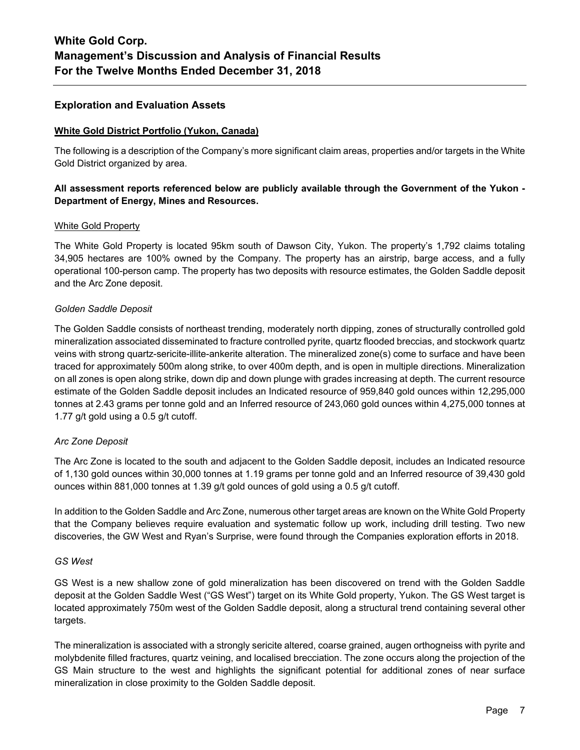## **Exploration and Evaluation Assets**

### **White Gold District Portfolio (Yukon, Canada)**

The following is a description of the Company's more significant claim areas, properties and/or targets in the White Gold District organized by area.

## **All assessment reports referenced below are publicly available through the Government of the Yukon - Department of Energy, Mines and Resources.**

## White Gold Property

The White Gold Property is located 95km south of Dawson City, Yukon. The property's 1,792 claims totaling 34,905 hectares are 100% owned by the Company. The property has an airstrip, barge access, and a fully operational 100-person camp. The property has two deposits with resource estimates, the Golden Saddle deposit and the Arc Zone deposit.

## *Golden Saddle Deposit*

The Golden Saddle consists of northeast trending, moderately north dipping, zones of structurally controlled gold mineralization associated disseminated to fracture controlled pyrite, quartz flooded breccias, and stockwork quartz veins with strong quartz-sericite-illite-ankerite alteration. The mineralized zone(s) come to surface and have been traced for approximately 500m along strike, to over 400m depth, and is open in multiple directions. Mineralization on all zones is open along strike, down dip and down plunge with grades increasing at depth. The current resource estimate of the Golden Saddle deposit includes an Indicated resource of 959,840 gold ounces within 12,295,000 tonnes at 2.43 grams per tonne gold and an Inferred resource of 243,060 gold ounces within 4,275,000 tonnes at 1.77 g/t gold using a 0.5 g/t cutoff.

### *Arc Zone Deposit*

The Arc Zone is located to the south and adjacent to the Golden Saddle deposit, includes an Indicated resource of 1,130 gold ounces within 30,000 tonnes at 1.19 grams per tonne gold and an Inferred resource of 39,430 gold ounces within 881,000 tonnes at 1.39 g/t gold ounces of gold using a 0.5 g/t cutoff.

In addition to the Golden Saddle and Arc Zone, numerous other target areas are known on the White Gold Property that the Company believes require evaluation and systematic follow up work, including drill testing. Two new discoveries, the GW West and Ryan's Surprise, were found through the Companies exploration efforts in 2018.

### *GS West*

GS West is a new shallow zone of gold mineralization has been discovered on trend with the Golden Saddle deposit at the Golden Saddle West ("GS West") target on its White Gold property, Yukon. The GS West target is located approximately 750m west of the Golden Saddle deposit, along a structural trend containing several other targets.

The mineralization is associated with a strongly sericite altered, coarse grained, augen orthogneiss with pyrite and molybdenite filled fractures, quartz veining, and localised brecciation. The zone occurs along the projection of the GS Main structure to the west and highlights the significant potential for additional zones of near surface mineralization in close proximity to the Golden Saddle deposit.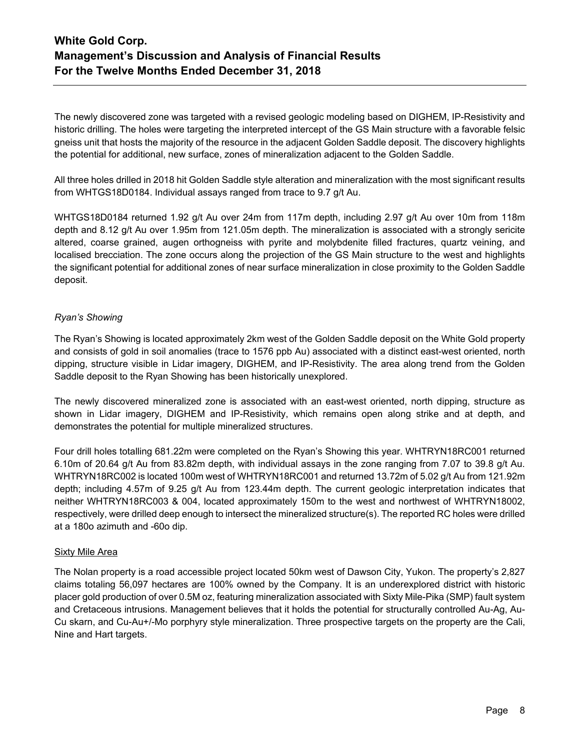The newly discovered zone was targeted with a revised geologic modeling based on DIGHEM, IP-Resistivity and historic drilling. The holes were targeting the interpreted intercept of the GS Main structure with a favorable felsic gneiss unit that hosts the majority of the resource in the adjacent Golden Saddle deposit. The discovery highlights the potential for additional, new surface, zones of mineralization adjacent to the Golden Saddle.

All three holes drilled in 2018 hit Golden Saddle style alteration and mineralization with the most significant results from WHTGS18D0184. Individual assays ranged from trace to 9.7 g/t Au.

WHTGS18D0184 returned 1.92 g/t Au over 24m from 117m depth, including 2.97 g/t Au over 10m from 118m depth and 8.12 g/t Au over 1.95m from 121.05m depth. The mineralization is associated with a strongly sericite altered, coarse grained, augen orthogneiss with pyrite and molybdenite filled fractures, quartz veining, and localised brecciation. The zone occurs along the projection of the GS Main structure to the west and highlights the significant potential for additional zones of near surface mineralization in close proximity to the Golden Saddle deposit.

## *Ryan's Showing*

The Ryan's Showing is located approximately 2km west of the Golden Saddle deposit on the White Gold property and consists of gold in soil anomalies (trace to 1576 ppb Au) associated with a distinct east-west oriented, north dipping, structure visible in Lidar imagery, DIGHEM, and IP-Resistivity. The area along trend from the Golden Saddle deposit to the Ryan Showing has been historically unexplored.

The newly discovered mineralized zone is associated with an east-west oriented, north dipping, structure as shown in Lidar imagery, DIGHEM and IP-Resistivity, which remains open along strike and at depth, and demonstrates the potential for multiple mineralized structures.

Four drill holes totalling 681.22m were completed on the Ryan's Showing this year. WHTRYN18RC001 returned 6.10m of 20.64 g/t Au from 83.82m depth, with individual assays in the zone ranging from 7.07 to 39.8 g/t Au. WHTRYN18RC002 is located 100m west of WHTRYN18RC001 and returned 13.72m of 5.02 g/t Au from 121.92m depth; including 4.57m of 9.25 g/t Au from 123.44m depth. The current geologic interpretation indicates that neither WHTRYN18RC003 & 004, located approximately 150m to the west and northwest of WHTRYN18002, respectively, were drilled deep enough to intersect the mineralized structure(s). The reported RC holes were drilled at a 180o azimuth and -60o dip.

## Sixty Mile Area

The Nolan property is a road accessible project located 50km west of Dawson City, Yukon. The property's 2,827 claims totaling 56,097 hectares are 100% owned by the Company. It is an underexplored district with historic placer gold production of over 0.5M oz, featuring mineralization associated with Sixty Mile-Pika (SMP) fault system and Cretaceous intrusions. Management believes that it holds the potential for structurally controlled Au-Ag, Au-Cu skarn, and Cu-Au+/-Mo porphyry style mineralization. Three prospective targets on the property are the Cali, Nine and Hart targets.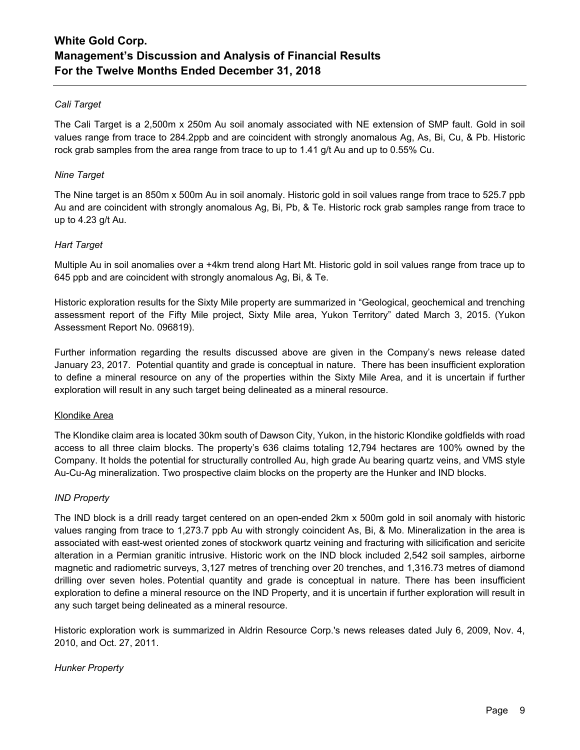## *Cali Target*

The Cali Target is a 2,500m x 250m Au soil anomaly associated with NE extension of SMP fault. Gold in soil values range from trace to 284.2ppb and are coincident with strongly anomalous Ag, As, Bi, Cu, & Pb. Historic rock grab samples from the area range from trace to up to 1.41 g/t Au and up to 0.55% Cu.

## *Nine Target*

The Nine target is an 850m x 500m Au in soil anomaly. Historic gold in soil values range from trace to 525.7 ppb Au and are coincident with strongly anomalous Ag, Bi, Pb, & Te. Historic rock grab samples range from trace to up to 4.23 g/t Au.

## *Hart Target*

Multiple Au in soil anomalies over a +4km trend along Hart Mt. Historic gold in soil values range from trace up to 645 ppb and are coincident with strongly anomalous Ag, Bi, & Te.

Historic exploration results for the Sixty Mile property are summarized in "Geological, geochemical and trenching assessment report of the Fifty Mile project, Sixty Mile area, Yukon Territory" dated March 3, 2015. (Yukon Assessment Report No. 096819).

Further information regarding the results discussed above are given in the Company's news release dated January 23, 2017. Potential quantity and grade is conceptual in nature. There has been insufficient exploration to define a mineral resource on any of the properties within the Sixty Mile Area, and it is uncertain if further exploration will result in any such target being delineated as a mineral resource.

### Klondike Area

The Klondike claim area is located 30km south of Dawson City, Yukon, in the historic Klondike goldfields with road access to all three claim blocks. The property's 636 claims totaling 12,794 hectares are 100% owned by the Company. It holds the potential for structurally controlled Au, high grade Au bearing quartz veins, and VMS style Au-Cu-Ag mineralization. Two prospective claim blocks on the property are the Hunker and IND blocks.

### *IND Property*

The IND block is a drill ready target centered on an open-ended 2km x 500m gold in soil anomaly with historic values ranging from trace to 1,273.7 ppb Au with strongly coincident As, Bi, & Mo. Mineralization in the area is associated with east-west oriented zones of stockwork quartz veining and fracturing with silicification and sericite alteration in a Permian granitic intrusive. Historic work on the IND block included 2,542 soil samples, airborne magnetic and radiometric surveys, 3,127 metres of trenching over 20 trenches, and 1,316.73 metres of diamond drilling over seven holes. Potential quantity and grade is conceptual in nature. There has been insufficient exploration to define a mineral resource on the IND Property, and it is uncertain if further exploration will result in any such target being delineated as a mineral resource.

Historic exploration work is summarized in Aldrin Resource Corp.'s news releases dated July 6, 2009, Nov. 4, 2010, and Oct. 27, 2011.

## *Hunker Property*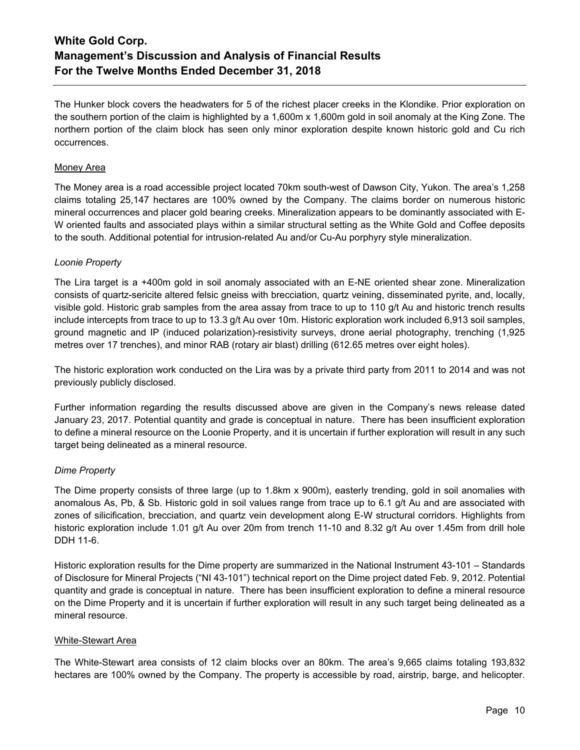The Hunker block covers the headwaters for 5 of the richest placer creeks in the Klondike. Prior exploration on the southern portion of the claim is highlighted by a 1,600m x 1,600m gold in soil anomaly at the King Zone. The northern portion of the claim block has seen only minor exploration despite known historic gold and Cu rich occurrences.

## Money Area

The Money area is a road accessible project located 70km south-west of Dawson City, Yukon. The area's 1,258 claims totaling 25,147 hectares are 100% owned by the Company. The claims border on numerous historic mineral occurrences and placer gold bearing creeks. Mineralization appears to be dominantly associated with E-W oriented faults and associated plays within a similar structural setting as the White Gold and Coffee deposits to the south. Additional potential for intrusion-related Au and/or Cu-Au porphyry style mineralization.

## *Loonie Property*

The Lira target is a +400m gold in soil anomaly associated with an E-NE oriented shear zone. Mineralization consists of quartz-sericite altered felsic gneiss with brecciation, quartz veining, disseminated pyrite, and, locally, visible gold. Historic grab samples from the area assay from trace to up to 110 g/t Au and historic trench results include intercepts from trace to up to 13.3 g/t Au over 10m. Historic exploration work included 6,913 soil samples, ground magnetic and IP (induced polarization)-resistivity surveys, drone aerial photography, trenching (1,925 metres over 17 trenches), and minor RAB (rotary air blast) drilling (612.65 metres over eight holes).

The historic exploration work conducted on the Lira was by a private third party from 2011 to 2014 and was not previously publicly disclosed.

Further information regarding the results discussed above are given in the Company's news release dated January 23, 2017. Potential quantity and grade is conceptual in nature. There has been insufficient exploration to define a mineral resource on the Loonie Property, and it is uncertain if further exploration will result in any such target being delineated as a mineral resource.

## *Dime Property*

The Dime property consists of three large (up to 1.8km x 900m), easterly trending, gold in soil anomalies with anomalous As, Pb, & Sb. Historic gold in soil values range from trace up to 6.1 g/t Au and are associated with zones of silicification, brecciation, and quartz vein development along E-W structural corridors. Highlights from historic exploration include 1.01 g/t Au over 20m from trench 11-10 and 8.32 g/t Au over 1.45m from drill hole DDH 11-6.

Historic exploration results for the Dime property are summarized in the National Instrument 43-101 – Standards of Disclosure for Mineral Projects ("NI 43-101") technical report on the Dime project dated Feb. 9, 2012. Potential quantity and grade is conceptual in nature. There has been insufficient exploration to define a mineral resource on the Dime Property and it is uncertain if further exploration will result in any such target being delineated as a mineral resource.

## White-Stewart Area

The White-Stewart area consists of 12 claim blocks over an 80km. The area's 9,665 claims totaling 193,832 hectares are 100% owned by the Company. The property is accessible by road, airstrip, barge, and helicopter.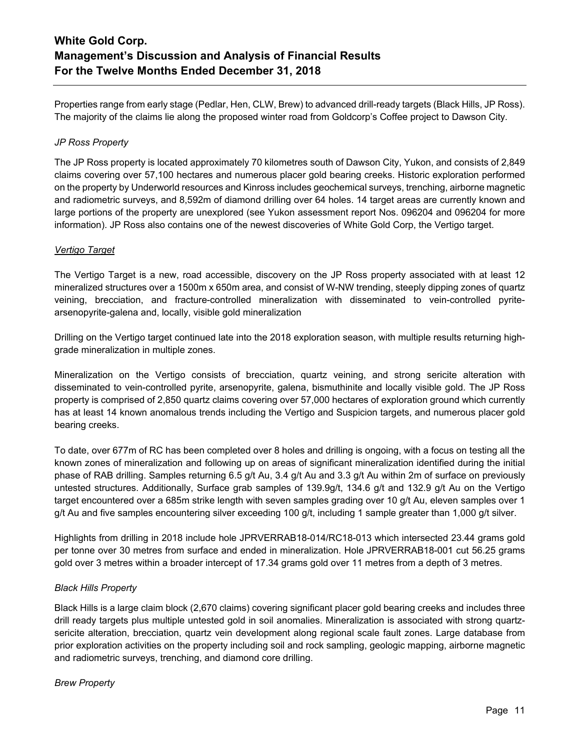Properties range from early stage (Pedlar, Hen, CLW, Brew) to advanced drill-ready targets (Black Hills, JP Ross). The majority of the claims lie along the proposed winter road from Goldcorp's Coffee project to Dawson City.

## *JP Ross Property*

The JP Ross property is located approximately 70 kilometres south of Dawson City, Yukon, and consists of 2,849 claims covering over 57,100 hectares and numerous placer gold bearing creeks. Historic exploration performed on the property by Underworld resources and Kinross includes geochemical surveys, trenching, airborne magnetic and radiometric surveys, and 8,592m of diamond drilling over 64 holes. 14 target areas are currently known and large portions of the property are unexplored (see Yukon assessment report Nos. 096204 and 096204 for more information). JP Ross also contains one of the newest discoveries of White Gold Corp, the Vertigo target.

## *Vertigo Target*

The Vertigo Target is a new, road accessible, discovery on the JP Ross property associated with at least 12 mineralized structures over a 1500m x 650m area, and consist of W-NW trending, steeply dipping zones of quartz veining, brecciation, and fracture-controlled mineralization with disseminated to vein-controlled pyritearsenopyrite-galena and, locally, visible gold mineralization

Drilling on the Vertigo target continued late into the 2018 exploration season, with multiple results returning highgrade mineralization in multiple zones.

Mineralization on the Vertigo consists of brecciation, quartz veining, and strong sericite alteration with disseminated to vein-controlled pyrite, arsenopyrite, galena, bismuthinite and locally visible gold. The JP Ross property is comprised of 2,850 quartz claims covering over 57,000 hectares of exploration ground which currently has at least 14 known anomalous trends including the Vertigo and Suspicion targets, and numerous placer gold bearing creeks.

To date, over 677m of RC has been completed over 8 holes and drilling is ongoing, with a focus on testing all the known zones of mineralization and following up on areas of significant mineralization identified during the initial phase of RAB drilling. Samples returning 6.5 g/t Au, 3.4 g/t Au and 3.3 g/t Au within 2m of surface on previously untested structures. Additionally, Surface grab samples of 139.9g/t, 134.6 g/t and 132.9 g/t Au on the Vertigo target encountered over a 685m strike length with seven samples grading over 10 g/t Au, eleven samples over 1 g/t Au and five samples encountering silver exceeding 100 g/t, including 1 sample greater than 1,000 g/t silver.

Highlights from drilling in 2018 include hole JPRVERRAB18-014/RC18-013 which intersected 23.44 grams gold per tonne over 30 metres from surface and ended in mineralization. Hole JPRVERRAB18-001 cut 56.25 grams gold over 3 metres within a broader intercept of 17.34 grams gold over 11 metres from a depth of 3 metres.

## *Black Hills Property*

Black Hills is a large claim block (2,670 claims) covering significant placer gold bearing creeks and includes three drill ready targets plus multiple untested gold in soil anomalies. Mineralization is associated with strong quartzsericite alteration, brecciation, quartz vein development along regional scale fault zones. Large database from prior exploration activities on the property including soil and rock sampling, geologic mapping, airborne magnetic and radiometric surveys, trenching, and diamond core drilling.

## *Brew Property*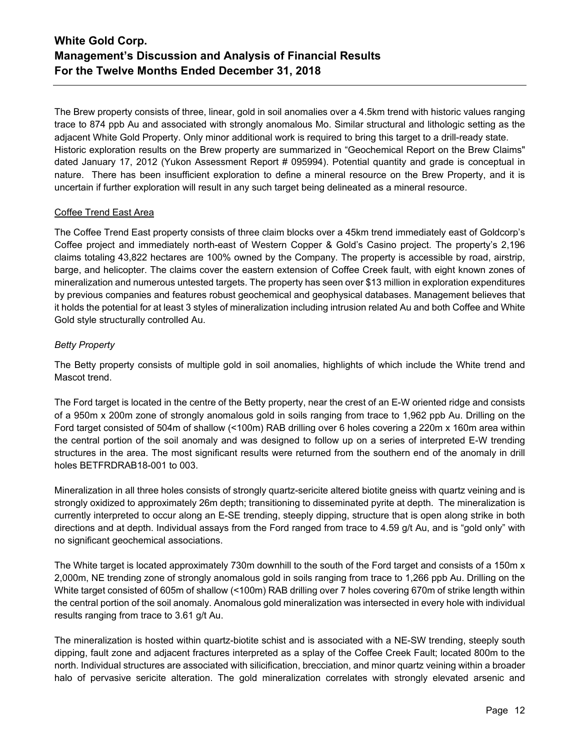The Brew property consists of three, linear, gold in soil anomalies over a 4.5km trend with historic values ranging trace to 874 ppb Au and associated with strongly anomalous Mo. Similar structural and lithologic setting as the adjacent White Gold Property. Only minor additional work is required to bring this target to a drill-ready state. Historic exploration results on the Brew property are summarized in "Geochemical Report on the Brew Claims" dated January 17, 2012 (Yukon Assessment Report # 095994). Potential quantity and grade is conceptual in nature. There has been insufficient exploration to define a mineral resource on the Brew Property, and it is uncertain if further exploration will result in any such target being delineated as a mineral resource.

## Coffee Trend East Area

The Coffee Trend East property consists of three claim blocks over a 45km trend immediately east of Goldcorp's Coffee project and immediately north-east of Western Copper & Gold's Casino project. The property's 2,196 claims totaling 43,822 hectares are 100% owned by the Company. The property is accessible by road, airstrip, barge, and helicopter. The claims cover the eastern extension of Coffee Creek fault, with eight known zones of mineralization and numerous untested targets. The property has seen over \$13 million in exploration expenditures by previous companies and features robust geochemical and geophysical databases. Management believes that it holds the potential for at least 3 styles of mineralization including intrusion related Au and both Coffee and White Gold style structurally controlled Au.

## *Betty Property*

The Betty property consists of multiple gold in soil anomalies, highlights of which include the White trend and Mascot trend.

The Ford target is located in the centre of the Betty property, near the crest of an E-W oriented ridge and consists of a 950m x 200m zone of strongly anomalous gold in soils ranging from trace to 1,962 ppb Au. Drilling on the Ford target consisted of 504m of shallow (<100m) RAB drilling over 6 holes covering a 220m x 160m area within the central portion of the soil anomaly and was designed to follow up on a series of interpreted E-W trending structures in the area. The most significant results were returned from the southern end of the anomaly in drill holes BETFRDRAB18-001 to 003.

Mineralization in all three holes consists of strongly quartz-sericite altered biotite gneiss with quartz veining and is strongly oxidized to approximately 26m depth; transitioning to disseminated pyrite at depth. The mineralization is currently interpreted to occur along an E-SE trending, steeply dipping, structure that is open along strike in both directions and at depth. Individual assays from the Ford ranged from trace to 4.59 g/t Au, and is "gold only" with no significant geochemical associations.

The White target is located approximately 730m downhill to the south of the Ford target and consists of a 150m x 2,000m, NE trending zone of strongly anomalous gold in soils ranging from trace to 1,266 ppb Au. Drilling on the White target consisted of 605m of shallow (<100m) RAB drilling over 7 holes covering 670m of strike length within the central portion of the soil anomaly. Anomalous gold mineralization was intersected in every hole with individual results ranging from trace to 3.61 g/t Au.

The mineralization is hosted within quartz-biotite schist and is associated with a NE-SW trending, steeply south dipping, fault zone and adjacent fractures interpreted as a splay of the Coffee Creek Fault; located 800m to the north. Individual structures are associated with silicification, brecciation, and minor quartz veining within a broader halo of pervasive sericite alteration. The gold mineralization correlates with strongly elevated arsenic and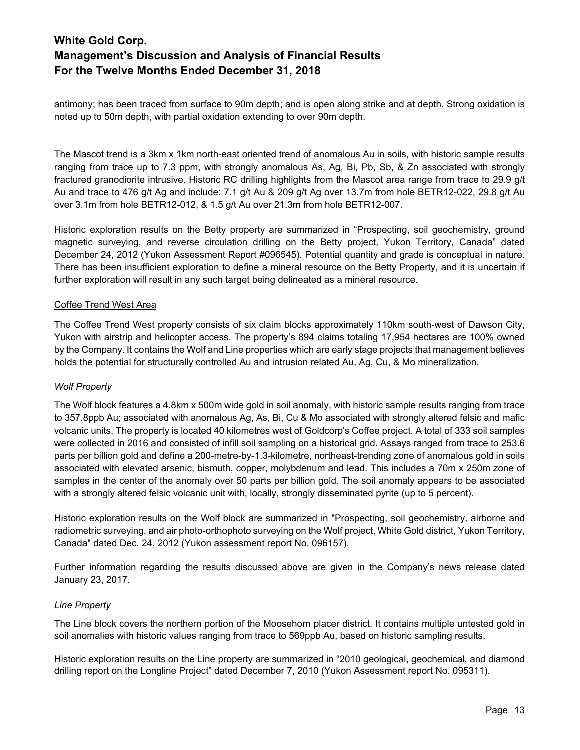antimony; has been traced from surface to 90m depth; and is open along strike and at depth. Strong oxidation is noted up to 50m depth, with partial oxidation extending to over 90m depth.

The Mascot trend is a 3km x 1km north-east oriented trend of anomalous Au in soils, with historic sample results ranging from trace up to 7.3 ppm, with strongly anomalous As, Ag, Bi, Pb, Sb, & Zn associated with strongly fractured granodiorite intrusive. Historic RC drilling highlights from the Mascot area range from trace to 29.9 g/t Au and trace to 476 g/t Ag and include: 7.1 g/t Au & 209 g/t Ag over 13.7m from hole BETR12-022, 29.8 g/t Au over 3.1m from hole BETR12-012, & 1.5 g/t Au over 21.3m from hole BETR12-007.

Historic exploration results on the Betty property are summarized in "Prospecting, soil geochemistry, ground magnetic surveying, and reverse circulation drilling on the Betty project, Yukon Territory, Canada" dated December 24, 2012 (Yukon Assessment Report #096545). Potential quantity and grade is conceptual in nature. There has been insufficient exploration to define a mineral resource on the Betty Property, and it is uncertain if further exploration will result in any such target being delineated as a mineral resource.

## Coffee Trend West Area

The Coffee Trend West property consists of six claim blocks approximately 110km south-west of Dawson City, Yukon with airstrip and helicopter access. The property's 894 claims totaling 17,954 hectares are 100% owned by the Company. It contains the Wolf and Line properties which are early stage projects that management believes holds the potential for structurally controlled Au and intrusion related Au, Ag, Cu, & Mo mineralization.

## *Wolf Property*

The Wolf block features a 4.8km x 500m wide gold in soil anomaly, with historic sample results ranging from trace to 357.8ppb Au; associated with anomalous Ag, As, Bi, Cu & Mo associated with strongly altered felsic and mafic volcanic units. The property is located 40 kilometres west of Goldcorp's Coffee project. A total of 333 soil samples were collected in 2016 and consisted of infill soil sampling on a historical grid. Assays ranged from trace to 253.6 parts per billion gold and define a 200-metre-by-1.3-kilometre, northeast-trending zone of anomalous gold in soils associated with elevated arsenic, bismuth, copper, molybdenum and lead. This includes a 70m x 250m zone of samples in the center of the anomaly over 50 parts per billion gold. The soil anomaly appears to be associated with a strongly altered felsic volcanic unit with, locally, strongly disseminated pyrite (up to 5 percent).

Historic exploration results on the Wolf block are summarized in "Prospecting, soil geochemistry, airborne and radiometric surveying, and air photo-orthophoto surveying on the Wolf project, White Gold district, Yukon Territory, Canada" dated Dec. 24, 2012 (Yukon assessment report No. 096157).

Further information regarding the results discussed above are given in the Company's news release dated January 23, 2017.

### *Line Property*

The Line block covers the northern portion of the Moosehorn placer district. It contains multiple untested gold in soil anomalies with historic values ranging from trace to 569ppb Au, based on historic sampling results.

Historic exploration results on the Line property are summarized in "2010 geological, geochemical, and diamond drilling report on the Longline Project" dated December 7, 2010 (Yukon Assessment report No. 095311).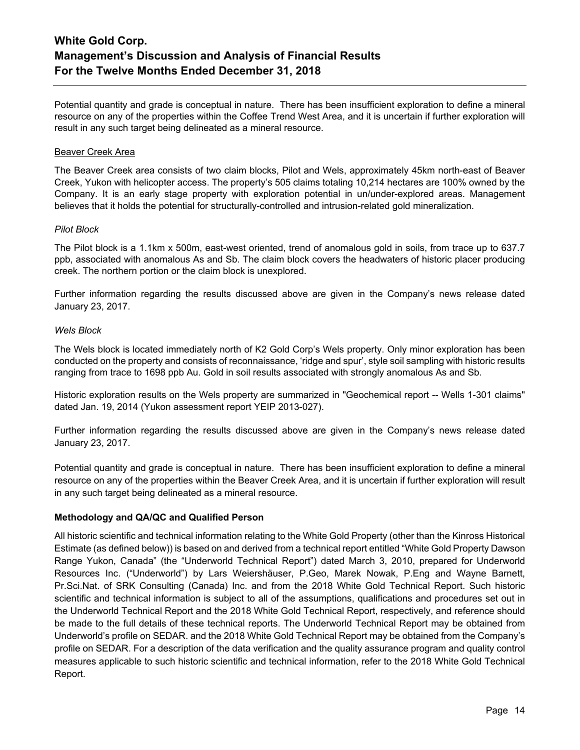Potential quantity and grade is conceptual in nature. There has been insufficient exploration to define a mineral resource on any of the properties within the Coffee Trend West Area, and it is uncertain if further exploration will result in any such target being delineated as a mineral resource.

## Beaver Creek Area

The Beaver Creek area consists of two claim blocks, Pilot and Wels, approximately 45km north-east of Beaver Creek, Yukon with helicopter access. The property's 505 claims totaling 10,214 hectares are 100% owned by the Company. It is an early stage property with exploration potential in un/under-explored areas. Management believes that it holds the potential for structurally-controlled and intrusion-related gold mineralization.

### *Pilot Block*

The Pilot block is a 1.1km x 500m, east-west oriented, trend of anomalous gold in soils, from trace up to 637.7 ppb, associated with anomalous As and Sb. The claim block covers the headwaters of historic placer producing creek. The northern portion or the claim block is unexplored.

Further information regarding the results discussed above are given in the Company's news release dated January 23, 2017.

## *Wels Block*

The Wels block is located immediately north of K2 Gold Corp's Wels property. Only minor exploration has been conducted on the property and consists of reconnaissance, 'ridge and spur', style soil sampling with historic results ranging from trace to 1698 ppb Au. Gold in soil results associated with strongly anomalous As and Sb.

Historic exploration results on the Wels property are summarized in "Geochemical report -- Wells 1-301 claims" dated Jan. 19, 2014 (Yukon assessment report YEIP 2013-027).

Further information regarding the results discussed above are given in the Company's news release dated January 23, 2017.

Potential quantity and grade is conceptual in nature. There has been insufficient exploration to define a mineral resource on any of the properties within the Beaver Creek Area, and it is uncertain if further exploration will result in any such target being delineated as a mineral resource.

## **Methodology and QA/QC and Qualified Person**

All historic scientific and technical information relating to the White Gold Property (other than the Kinross Historical Estimate (as defined below)) is based on and derived from a technical report entitled "White Gold Property Dawson Range Yukon, Canada" (the "Underworld Technical Report") dated March 3, 2010, prepared for Underworld Resources Inc. ("Underworld") by Lars Weiershäuser, P.Geo, Marek Nowak, P.Eng and Wayne Barnett, Pr.Sci.Nat. of SRK Consulting (Canada) Inc. and from the 2018 White Gold Technical Report. Such historic scientific and technical information is subject to all of the assumptions, qualifications and procedures set out in the Underworld Technical Report and the 2018 White Gold Technical Report, respectively, and reference should be made to the full details of these technical reports. The Underworld Technical Report may be obtained from Underworld's profile on SEDAR. and the 2018 White Gold Technical Report may be obtained from the Company's profile on SEDAR. For a description of the data verification and the quality assurance program and quality control measures applicable to such historic scientific and technical information, refer to the 2018 White Gold Technical Report.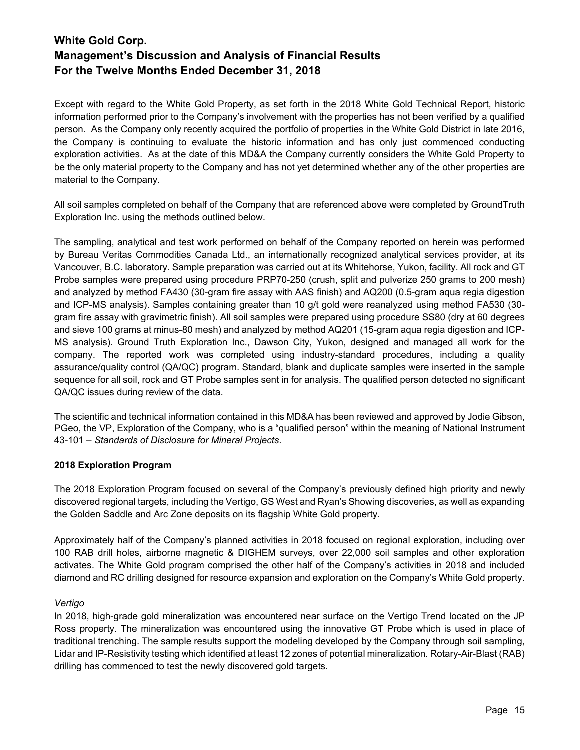Except with regard to the White Gold Property, as set forth in the 2018 White Gold Technical Report, historic information performed prior to the Company's involvement with the properties has not been verified by a qualified person. As the Company only recently acquired the portfolio of properties in the White Gold District in late 2016, the Company is continuing to evaluate the historic information and has only just commenced conducting exploration activities. As at the date of this MD&A the Company currently considers the White Gold Property to be the only material property to the Company and has not yet determined whether any of the other properties are material to the Company.

All soil samples completed on behalf of the Company that are referenced above were completed by GroundTruth Exploration Inc. using the methods outlined below.

The sampling, analytical and test work performed on behalf of the Company reported on herein was performed by Bureau Veritas Commodities Canada Ltd., an internationally recognized analytical services provider, at its Vancouver, B.C. laboratory. Sample preparation was carried out at its Whitehorse, Yukon, facility. All rock and GT Probe samples were prepared using procedure PRP70-250 (crush, split and pulverize 250 grams to 200 mesh) and analyzed by method FA430 (30-gram fire assay with AAS finish) and AQ200 (0.5-gram aqua regia digestion and ICP-MS analysis). Samples containing greater than 10 g/t gold were reanalyzed using method FA530 (30 gram fire assay with gravimetric finish). All soil samples were prepared using procedure SS80 (dry at 60 degrees and sieve 100 grams at minus-80 mesh) and analyzed by method AQ201 (15-gram aqua regia digestion and ICP-MS analysis). Ground Truth Exploration Inc., Dawson City, Yukon, designed and managed all work for the company. The reported work was completed using industry-standard procedures, including a quality assurance/quality control (QA/QC) program. Standard, blank and duplicate samples were inserted in the sample sequence for all soil, rock and GT Probe samples sent in for analysis. The qualified person detected no significant QA/QC issues during review of the data.

The scientific and technical information contained in this MD&A has been reviewed and approved by Jodie Gibson, PGeo, the VP, Exploration of the Company, who is a "qualified person" within the meaning of National Instrument 43-101 – *Standards of Disclosure for Mineral Projects*.

## **2018 Exploration Program**

The 2018 Exploration Program focused on several of the Company's previously defined high priority and newly discovered regional targets, including the Vertigo, GS West and Ryan's Showing discoveries, as well as expanding the Golden Saddle and Arc Zone deposits on its flagship White Gold property.

Approximately half of the Company's planned activities in 2018 focused on regional exploration, including over 100 RAB drill holes, airborne magnetic & DIGHEM surveys, over 22,000 soil samples and other exploration activates. The White Gold program comprised the other half of the Company's activities in 2018 and included diamond and RC drilling designed for resource expansion and exploration on the Company's White Gold property.

### *Vertigo*

In 2018, high-grade gold mineralization was encountered near surface on the Vertigo Trend located on the JP Ross property. The mineralization was encountered using the innovative GT Probe which is used in place of traditional trenching. The sample results support the modeling developed by the Company through soil sampling, Lidar and IP-Resistivity testing which identified at least 12 zones of potential mineralization. Rotary-Air-Blast (RAB) drilling has commenced to test the newly discovered gold targets.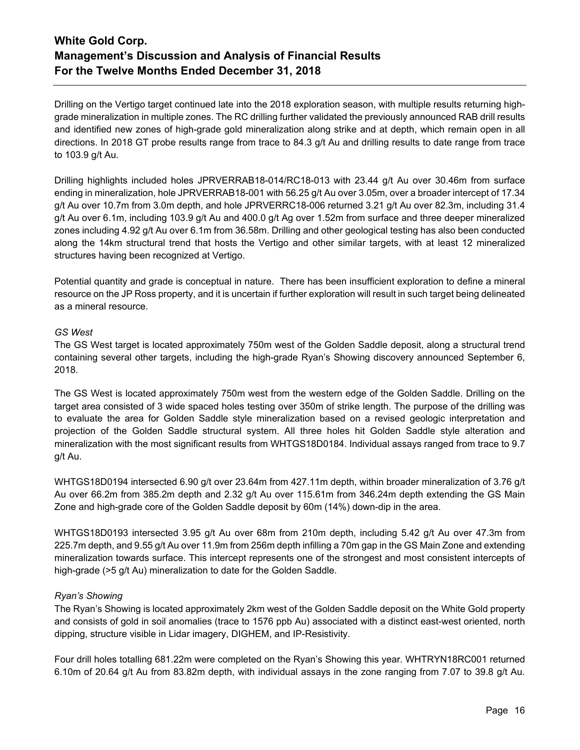Drilling on the Vertigo target continued late into the 2018 exploration season, with multiple results returning highgrade mineralization in multiple zones. The RC drilling further validated the previously announced RAB drill results and identified new zones of high-grade gold mineralization along strike and at depth, which remain open in all directions. In 2018 GT probe results range from trace to 84.3 g/t Au and drilling results to date range from trace to 103.9 g/t Au.

Drilling highlights included holes JPRVERRAB18-014/RC18-013 with 23.44 g/t Au over 30.46m from surface ending in mineralization, hole JPRVERRAB18-001 with 56.25 g/t Au over 3.05m, over a broader intercept of 17.34 g/t Au over 10.7m from 3.0m depth, and hole JPRVERRC18-006 returned 3.21 g/t Au over 82.3m, including 31.4 g/t Au over 6.1m, including 103.9 g/t Au and 400.0 g/t Ag over 1.52m from surface and three deeper mineralized zones including 4.92 g/t Au over 6.1m from 36.58m. Drilling and other geological testing has also been conducted along the 14km structural trend that hosts the Vertigo and other similar targets, with at least 12 mineralized structures having been recognized at Vertigo.

Potential quantity and grade is conceptual in nature. There has been insufficient exploration to define a mineral resource on the JP Ross property, and it is uncertain if further exploration will result in such target being delineated as a mineral resource.

## *GS West*

The GS West target is located approximately 750m west of the Golden Saddle deposit, along a structural trend containing several other targets, including the high-grade Ryan's Showing discovery announced September 6, 2018.

The GS West is located approximately 750m west from the western edge of the Golden Saddle. Drilling on the target area consisted of 3 wide spaced holes testing over 350m of strike length. The purpose of the drilling was to evaluate the area for Golden Saddle style mineralization based on a revised geologic interpretation and projection of the Golden Saddle structural system. All three holes hit Golden Saddle style alteration and mineralization with the most significant results from WHTGS18D0184. Individual assays ranged from trace to 9.7 g/t Au.

WHTGS18D0194 intersected 6.90 g/t over 23.64m from 427.11m depth, within broader mineralization of 3.76 g/t Au over 66.2m from 385.2m depth and 2.32 g/t Au over 115.61m from 346.24m depth extending the GS Main Zone and high-grade core of the Golden Saddle deposit by 60m (14%) down-dip in the area.

WHTGS18D0193 intersected 3.95 g/t Au over 68m from 210m depth, including 5.42 g/t Au over 47.3m from 225.7m depth, and 9.55 g/t Au over 11.9m from 256m depth infilling a 70m gap in the GS Main Zone and extending mineralization towards surface. This intercept represents one of the strongest and most consistent intercepts of high-grade (>5 g/t Au) mineralization to date for the Golden Saddle.

## *Ryan's Showing*

The Ryan's Showing is located approximately 2km west of the Golden Saddle deposit on the White Gold property and consists of gold in soil anomalies (trace to 1576 ppb Au) associated with a distinct east-west oriented, north dipping, structure visible in Lidar imagery, DIGHEM, and IP-Resistivity.

Four drill holes totalling 681.22m were completed on the Ryan's Showing this year. WHTRYN18RC001 returned 6.10m of 20.64 g/t Au from 83.82m depth, with individual assays in the zone ranging from 7.07 to 39.8 g/t Au.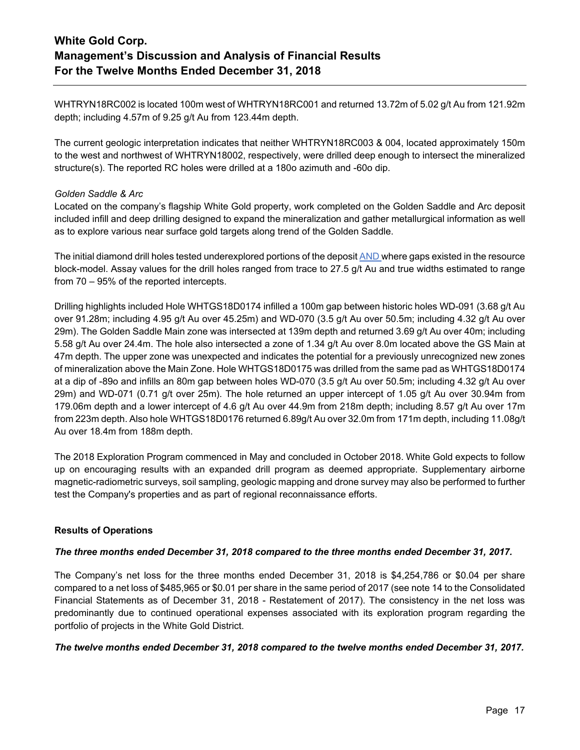WHTRYN18RC002 is located 100m west of WHTRYN18RC001 and returned 13.72m of 5.02 g/t Au from 121.92m depth; including 4.57m of 9.25 g/t Au from 123.44m depth.

The current geologic interpretation indicates that neither WHTRYN18RC003 & 004, located approximately 150m to the west and northwest of WHTRYN18002, respectively, were drilled deep enough to intersect the mineralized structure(s). The reported RC holes were drilled at a 180o azimuth and -60o dip.

## *Golden Saddle & Arc*

Located on the company's flagship White Gold property, work completed on the Golden Saddle and Arc deposit included infill and deep drilling designed to expand the mineralization and gather metallurgical information as well as to explore various near surface gold targets along trend of the Golden Saddle.

The initial diamond drill holes tested underexplored portions of the deposit AND where gaps existed in the resource block-model. Assay values for the drill holes ranged from trace to 27.5 g/t Au and true widths estimated to range from 70 – 95% of the reported intercepts.

Drilling highlights included Hole WHTGS18D0174 infilled a 100m gap between historic holes WD-091 (3.68 g/t Au over 91.28m; including 4.95 g/t Au over 45.25m) and WD-070 (3.5 g/t Au over 50.5m; including 4.32 g/t Au over 29m). The Golden Saddle Main zone was intersected at 139m depth and returned 3.69 g/t Au over 40m; including 5.58 g/t Au over 24.4m. The hole also intersected a zone of 1.34 g/t Au over 8.0m located above the GS Main at 47m depth. The upper zone was unexpected and indicates the potential for a previously unrecognized new zones of mineralization above the Main Zone. Hole WHTGS18D0175 was drilled from the same pad as WHTGS18D0174 at a dip of -89o and infills an 80m gap between holes WD-070 (3.5 g/t Au over 50.5m; including 4.32 g/t Au over 29m) and WD-071 (0.71 g/t over 25m). The hole returned an upper intercept of 1.05 g/t Au over 30.94m from 179.06m depth and a lower intercept of 4.6 g/t Au over 44.9m from 218m depth; including 8.57 g/t Au over 17m from 223m depth. Also hole WHTGS18D0176 returned 6.89g/t Au over 32.0m from 171m depth, including 11.08g/t Au over 18.4m from 188m depth.

The 2018 Exploration Program commenced in May and concluded in October 2018. White Gold expects to follow up on encouraging results with an expanded drill program as deemed appropriate. Supplementary airborne magnetic-radiometric surveys, soil sampling, geologic mapping and drone survey may also be performed to further test the Company's properties and as part of regional reconnaissance efforts.

## **Results of Operations**

### *The three months ended December 31, 2018 compared to the three months ended December 31, 2017.*

The Company's net loss for the three months ended December 31, 2018 is \$4,254,786 or \$0.04 per share compared to a net loss of \$485,965 or \$0.01 per share in the same period of 2017 (see note 14 to the Consolidated Financial Statements as of December 31, 2018 - Restatement of 2017). The consistency in the net loss was predominantly due to continued operational expenses associated with its exploration program regarding the portfolio of projects in the White Gold District.

### *The twelve months ended December 31, 2018 compared to the twelve months ended December 31, 2017.*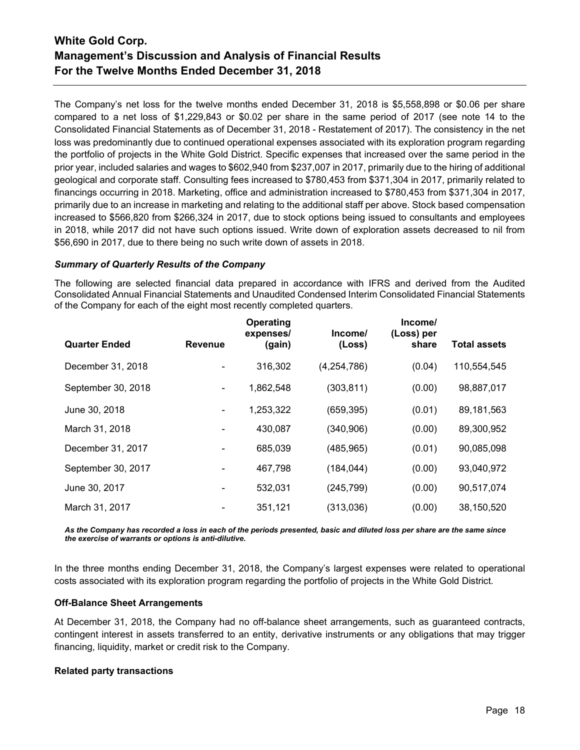The Company's net loss for the twelve months ended December 31, 2018 is \$5,558,898 or \$0.06 per share compared to a net loss of \$1,229,843 or \$0.02 per share in the same period of 2017 (see note 14 to the Consolidated Financial Statements as of December 31, 2018 - Restatement of 2017). The consistency in the net loss was predominantly due to continued operational expenses associated with its exploration program regarding the portfolio of projects in the White Gold District. Specific expenses that increased over the same period in the prior year, included salaries and wages to \$602,940 from \$237,007 in 2017, primarily due to the hiring of additional geological and corporate staff. Consulting fees increased to \$780,453 from \$371,304 in 2017, primarily related to financings occurring in 2018. Marketing, office and administration increased to \$780,453 from \$371,304 in 2017, primarily due to an increase in marketing and relating to the additional staff per above. Stock based compensation increased to \$566,820 from \$266,324 in 2017, due to stock options being issued to consultants and employees in 2018, while 2017 did not have such options issued. Write down of exploration assets decreased to nil from \$56,690 in 2017, due to there being no such write down of assets in 2018.

### *Summary of Quarterly Results of the Company*

The following are selected financial data prepared in accordance with IFRS and derived from the Audited Consolidated Annual Financial Statements and Unaudited Condensed Interim Consolidated Financial Statements of the Company for each of the eight most recently completed quarters.

|                      |                | Operating<br>expenses/ | Income/     | Income/<br>(Loss) per |                     |
|----------------------|----------------|------------------------|-------------|-----------------------|---------------------|
| <b>Quarter Ended</b> | <b>Revenue</b> | (gain)                 | (Loss)      | share                 | <b>Total assets</b> |
| December 31, 2018    |                | 316,302                | (4,254,786) | (0.04)                | 110,554,545         |
| September 30, 2018   |                | 1,862,548              | (303, 811)  | (0.00)                | 98,887,017          |
| June 30, 2018        | $\blacksquare$ | 1,253,322              | (659, 395)  | (0.01)                | 89,181,563          |
| March 31, 2018       |                | 430,087                | (340, 906)  | (0.00)                | 89,300,952          |
| December 31, 2017    |                | 685,039                | (485, 965)  | (0.01)                | 90,085,098          |
| September 30, 2017   |                | 467,798                | (184, 044)  | (0.00)                | 93,040,972          |
| June 30, 2017        |                | 532,031                | (245, 799)  | (0.00)                | 90,517,074          |
| March 31, 2017       |                | 351,121                | (313,036)   | (0.00)                | 38,150,520          |

*As the Company has recorded a loss in each of the periods presented, basic and diluted loss per share are the same since the exercise of warrants or options is anti-dilutive.*

In the three months ending December 31, 2018, the Company's largest expenses were related to operational costs associated with its exploration program regarding the portfolio of projects in the White Gold District.

## **Off-Balance Sheet Arrangements**

At December 31, 2018, the Company had no off-balance sheet arrangements, such as guaranteed contracts, contingent interest in assets transferred to an entity, derivative instruments or any obligations that may trigger financing, liquidity, market or credit risk to the Company.

## **Related party transactions**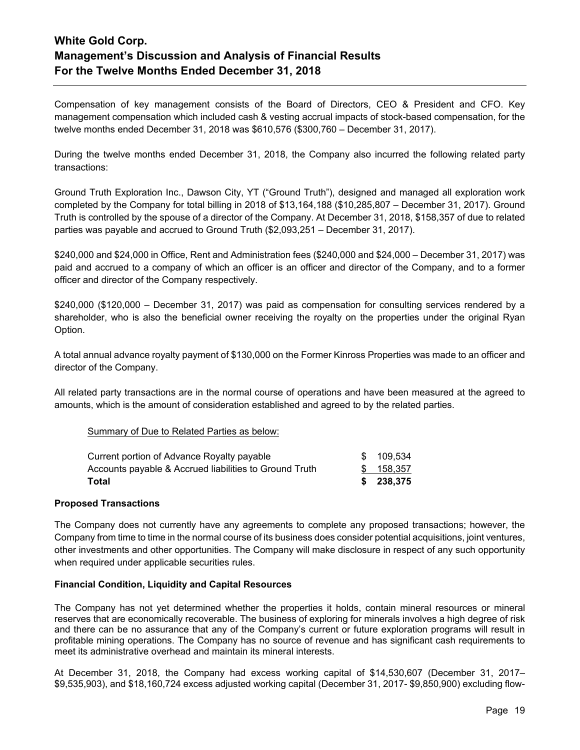Compensation of key management consists of the Board of Directors, CEO & President and CFO. Key management compensation which included cash & vesting accrual impacts of stock-based compensation, for the twelve months ended December 31, 2018 was \$610,576 (\$300,760 – December 31, 2017).

During the twelve months ended December 31, 2018, the Company also incurred the following related party transactions:

Ground Truth Exploration Inc., Dawson City, YT ("Ground Truth"), designed and managed all exploration work completed by the Company for total billing in 2018 of \$13,164,188 (\$10,285,807 – December 31, 2017). Ground Truth is controlled by the spouse of a director of the Company. At December 31, 2018, \$158,357 of due to related parties was payable and accrued to Ground Truth (\$2,093,251 – December 31, 2017).

\$240,000 and \$24,000 in Office, Rent and Administration fees (\$240,000 and \$24,000 – December 31, 2017) was paid and accrued to a company of which an officer is an officer and director of the Company, and to a former officer and director of the Company respectively.

\$240,000 (\$120,000 – December 31, 2017) was paid as compensation for consulting services rendered by a shareholder, who is also the beneficial owner receiving the royalty on the properties under the original Ryan Option.

A total annual advance royalty payment of \$130,000 on the Former Kinross Properties was made to an officer and director of the Company.

All related party transactions are in the normal course of operations and have been measured at the agreed to amounts, which is the amount of consideration established and agreed to by the related parties.

### Summary of Due to Related Parties as below:

| Current portion of Advance Royalty payable             | \$ 109.534 |
|--------------------------------------------------------|------------|
| Accounts payable & Accrued liabilities to Ground Truth | \$ 158,357 |
| Total                                                  | \$ 238.375 |

### **Proposed Transactions**

The Company does not currently have any agreements to complete any proposed transactions; however, the Company from time to time in the normal course of its business does consider potential acquisitions, joint ventures, other investments and other opportunities. The Company will make disclosure in respect of any such opportunity when required under applicable securities rules.

### **Financial Condition, Liquidity and Capital Resources**

The Company has not yet determined whether the properties it holds, contain mineral resources or mineral reserves that are economically recoverable. The business of exploring for minerals involves a high degree of risk and there can be no assurance that any of the Company's current or future exploration programs will result in profitable mining operations. The Company has no source of revenue and has significant cash requirements to meet its administrative overhead and maintain its mineral interests.

At December 31, 2018, the Company had excess working capital of \$14,530,607 (December 31, 2017– \$9,535,903), and \$18,160,724 excess adjusted working capital (December 31, 2017- \$9,850,900) excluding flow-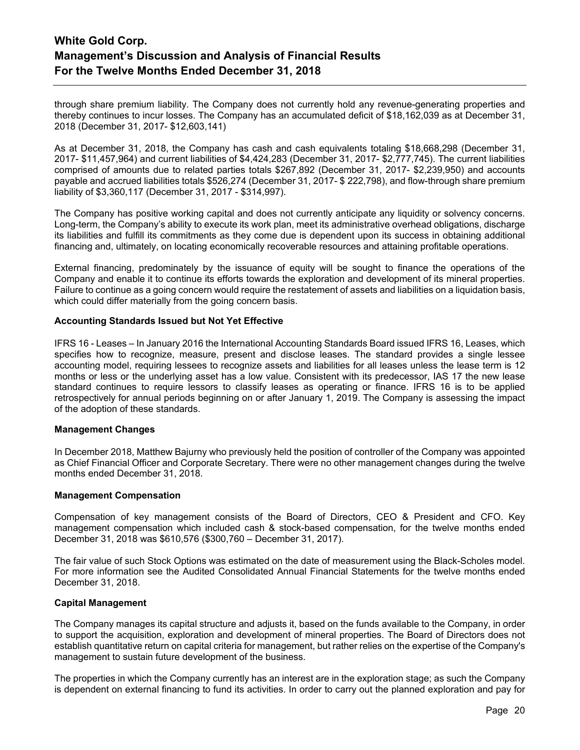through share premium liability. The Company does not currently hold any revenue-generating properties and thereby continues to incur losses. The Company has an accumulated deficit of \$18,162,039 as at December 31, 2018 (December 31, 2017- \$12,603,141)

As at December 31, 2018, the Company has cash and cash equivalents totaling \$18,668,298 (December 31, 2017- \$11,457,964) and current liabilities of \$4,424,283 (December 31, 2017- \$2,777,745). The current liabilities comprised of amounts due to related parties totals \$267,892 (December 31, 2017- \$2,239,950) and accounts payable and accrued liabilities totals \$526,274 (December 31, 2017- \$ 222,798), and flow-through share premium liability of \$3,360,117 (December 31, 2017 - \$314,997).

The Company has positive working capital and does not currently anticipate any liquidity or solvency concerns. Long-term, the Company's ability to execute its work plan, meet its administrative overhead obligations, discharge its liabilities and fulfill its commitments as they come due is dependent upon its success in obtaining additional financing and, ultimately, on locating economically recoverable resources and attaining profitable operations.

External financing, predominately by the issuance of equity will be sought to finance the operations of the Company and enable it to continue its efforts towards the exploration and development of its mineral properties. Failure to continue as a going concern would require the restatement of assets and liabilities on a liquidation basis, which could differ materially from the going concern basis.

### **Accounting Standards Issued but Not Yet Effective**

IFRS 16 - Leases – In January 2016 the International Accounting Standards Board issued IFRS 16, Leases, which specifies how to recognize, measure, present and disclose leases. The standard provides a single lessee accounting model, requiring lessees to recognize assets and liabilities for all leases unless the lease term is 12 months or less or the underlying asset has a low value. Consistent with its predecessor, IAS 17 the new lease standard continues to require lessors to classify leases as operating or finance. IFRS 16 is to be applied retrospectively for annual periods beginning on or after January 1, 2019. The Company is assessing the impact of the adoption of these standards.

### **Management Changes**

In December 2018, Matthew Bajurny who previously held the position of controller of the Company was appointed as Chief Financial Officer and Corporate Secretary. There were no other management changes during the twelve months ended December 31, 2018.

### **Management Compensation**

Compensation of key management consists of the Board of Directors, CEO & President and CFO. Key management compensation which included cash & stock-based compensation, for the twelve months ended December 31, 2018 was \$610,576 (\$300,760 – December 31, 2017).

The fair value of such Stock Options was estimated on the date of measurement using the Black-Scholes model. For more information see the Audited Consolidated Annual Financial Statements for the twelve months ended December 31, 2018.

#### **Capital Management**

The Company manages its capital structure and adjusts it, based on the funds available to the Company, in order to support the acquisition, exploration and development of mineral properties. The Board of Directors does not establish quantitative return on capital criteria for management, but rather relies on the expertise of the Company's management to sustain future development of the business.

The properties in which the Company currently has an interest are in the exploration stage; as such the Company is dependent on external financing to fund its activities. In order to carry out the planned exploration and pay for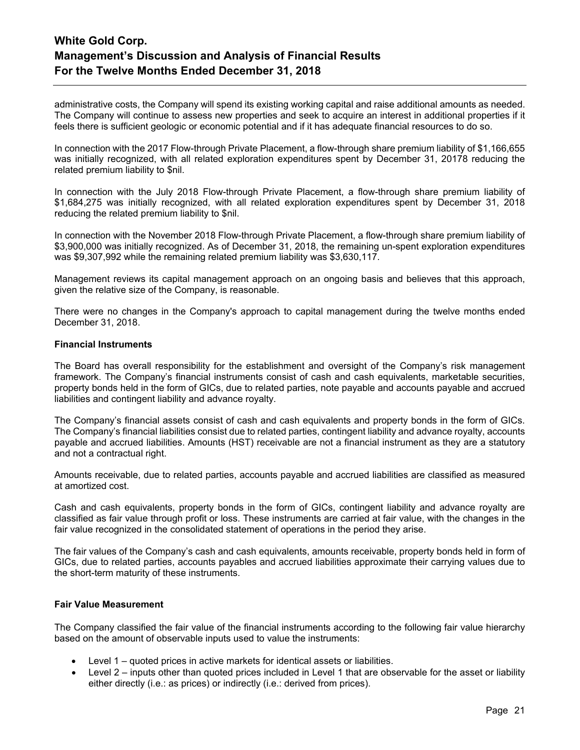administrative costs, the Company will spend its existing working capital and raise additional amounts as needed. The Company will continue to assess new properties and seek to acquire an interest in additional properties if it feels there is sufficient geologic or economic potential and if it has adequate financial resources to do so.

In connection with the 2017 Flow-through Private Placement, a flow-through share premium liability of \$1,166,655 was initially recognized, with all related exploration expenditures spent by December 31, 20178 reducing the related premium liability to \$nil.

In connection with the July 2018 Flow-through Private Placement, a flow-through share premium liability of \$1,684,275 was initially recognized, with all related exploration expenditures spent by December 31, 2018 reducing the related premium liability to \$nil.

In connection with the November 2018 Flow-through Private Placement, a flow-through share premium liability of \$3,900,000 was initially recognized. As of December 31, 2018, the remaining un-spent exploration expenditures was \$9,307,992 while the remaining related premium liability was \$3,630,117.

Management reviews its capital management approach on an ongoing basis and believes that this approach, given the relative size of the Company, is reasonable.

There were no changes in the Company's approach to capital management during the twelve months ended December 31, 2018.

### **Financial Instruments**

The Board has overall responsibility for the establishment and oversight of the Company's risk management framework. The Company's financial instruments consist of cash and cash equivalents, marketable securities, property bonds held in the form of GICs, due to related parties, note payable and accounts payable and accrued liabilities and contingent liability and advance royalty.

The Company's financial assets consist of cash and cash equivalents and property bonds in the form of GICs. The Company's financial liabilities consist due to related parties, contingent liability and advance royalty, accounts payable and accrued liabilities. Amounts (HST) receivable are not a financial instrument as they are a statutory and not a contractual right.

Amounts receivable, due to related parties, accounts payable and accrued liabilities are classified as measured at amortized cost.

Cash and cash equivalents, property bonds in the form of GICs, contingent liability and advance royalty are classified as fair value through profit or loss. These instruments are carried at fair value, with the changes in the fair value recognized in the consolidated statement of operations in the period they arise.

The fair values of the Company's cash and cash equivalents, amounts receivable, property bonds held in form of GICs, due to related parties, accounts payables and accrued liabilities approximate their carrying values due to the short-term maturity of these instruments.

## **Fair Value Measurement**

The Company classified the fair value of the financial instruments according to the following fair value hierarchy based on the amount of observable inputs used to value the instruments:

- Level 1 quoted prices in active markets for identical assets or liabilities.
- Level 2 inputs other than quoted prices included in Level 1 that are observable for the asset or liability either directly (i.e.: as prices) or indirectly (i.e.: derived from prices).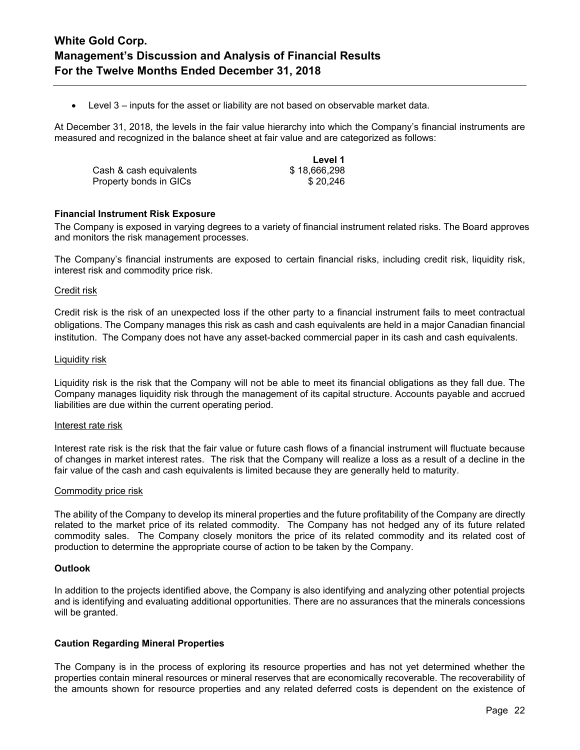• Level 3 – inputs for the asset or liability are not based on observable market data.

At December 31, 2018, the levels in the fair value hierarchy into which the Company's financial instruments are measured and recognized in the balance sheet at fair value and are categorized as follows:

|                         | Level 1      |
|-------------------------|--------------|
| Cash & cash equivalents | \$18,666,298 |
| Property bonds in GICs  | \$20,246     |

### **Financial Instrument Risk Exposure**

The Company is exposed in varying degrees to a variety of financial instrument related risks. The Board approves and monitors the risk management processes.

The Company's financial instruments are exposed to certain financial risks, including credit risk, liquidity risk, interest risk and commodity price risk.

#### Credit risk

Credit risk is the risk of an unexpected loss if the other party to a financial instrument fails to meet contractual obligations. The Company manages this risk as cash and cash equivalents are held in a major Canadian financial institution. The Company does not have any asset-backed commercial paper in its cash and cash equivalents.

#### Liquidity risk

Liquidity risk is the risk that the Company will not be able to meet its financial obligations as they fall due. The Company manages liquidity risk through the management of its capital structure. Accounts payable and accrued liabilities are due within the current operating period.

#### Interest rate risk

Interest rate risk is the risk that the fair value or future cash flows of a financial instrument will fluctuate because of changes in market interest rates. The risk that the Company will realize a loss as a result of a decline in the fair value of the cash and cash equivalents is limited because they are generally held to maturity.

#### Commodity price risk

The ability of the Company to develop its mineral properties and the future profitability of the Company are directly related to the market price of its related commodity. The Company has not hedged any of its future related commodity sales. The Company closely monitors the price of its related commodity and its related cost of production to determine the appropriate course of action to be taken by the Company.

## **Outlook**

In addition to the projects identified above, the Company is also identifying and analyzing other potential projects and is identifying and evaluating additional opportunities. There are no assurances that the minerals concessions will be granted.

### **Caution Regarding Mineral Properties**

The Company is in the process of exploring its resource properties and has not yet determined whether the properties contain mineral resources or mineral reserves that are economically recoverable. The recoverability of the amounts shown for resource properties and any related deferred costs is dependent on the existence of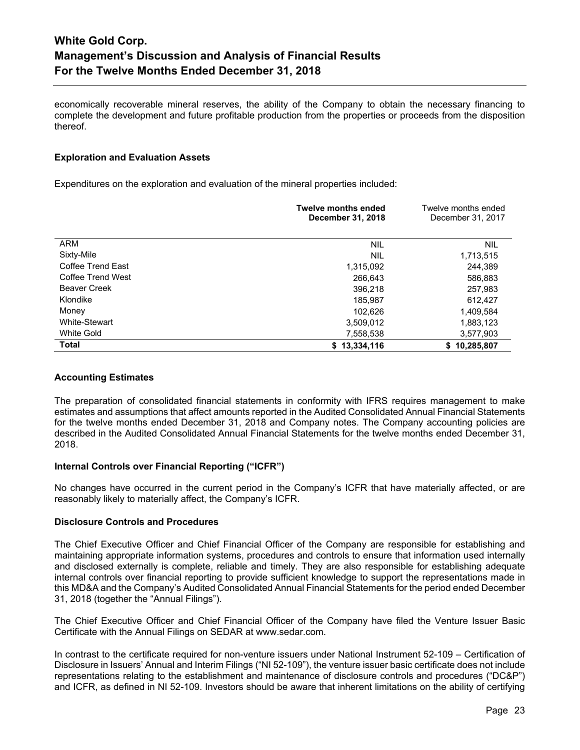economically recoverable mineral reserves, the ability of the Company to obtain the necessary financing to complete the development and future profitable production from the properties or proceeds from the disposition thereof.

### **Exploration and Evaluation Assets**

Expenditures on the exploration and evaluation of the mineral properties included:

|                     | <b>Twelve months ended</b><br>December 31, 2018 | Twelve months ended<br>December 31, 2017 |
|---------------------|-------------------------------------------------|------------------------------------------|
| <b>ARM</b>          | <b>NIL</b>                                      | <b>NIL</b>                               |
| Sixty-Mile          | <b>NIL</b>                                      | 1,713,515                                |
| Coffee Trend East   | 1,315,092                                       | 244,389                                  |
| Coffee Trend West   | 266,643                                         | 586,883                                  |
| <b>Beaver Creek</b> | 396,218                                         | 257,983                                  |
| Klondike            | 185,987                                         | 612,427                                  |
| Money               | 102,626                                         | 1,409,584                                |
| White-Stewart       | 3,509,012                                       | 1,883,123                                |
| White Gold          | 7,558,538                                       | 3,577,903                                |
| <b>Total</b>        | \$13,334,116                                    | \$10,285,807                             |

## **Accounting Estimates**

The preparation of consolidated financial statements in conformity with IFRS requires management to make estimates and assumptions that affect amounts reported in the Audited Consolidated Annual Financial Statements for the twelve months ended December 31, 2018 and Company notes. The Company accounting policies are described in the Audited Consolidated Annual Financial Statements for the twelve months ended December 31, 2018.

### **Internal Controls over Financial Reporting ("ICFR")**

No changes have occurred in the current period in the Company's ICFR that have materially affected, or are reasonably likely to materially affect, the Company's ICFR.

### **Disclosure Controls and Procedures**

The Chief Executive Officer and Chief Financial Officer of the Company are responsible for establishing and maintaining appropriate information systems, procedures and controls to ensure that information used internally and disclosed externally is complete, reliable and timely. They are also responsible for establishing adequate internal controls over financial reporting to provide sufficient knowledge to support the representations made in this MD&A and the Company's Audited Consolidated Annual Financial Statements for the period ended December 31, 2018 (together the "Annual Filings").

The Chief Executive Officer and Chief Financial Officer of the Company have filed the Venture Issuer Basic Certificate with the Annual Filings on SEDAR at www.sedar.com.

In contrast to the certificate required for non-venture issuers under National Instrument 52-109 – Certification of Disclosure in Issuers' Annual and Interim Filings ("NI 52-109"), the venture issuer basic certificate does not include representations relating to the establishment and maintenance of disclosure controls and procedures ("DC&P") and ICFR, as defined in NI 52-109. Investors should be aware that inherent limitations on the ability of certifying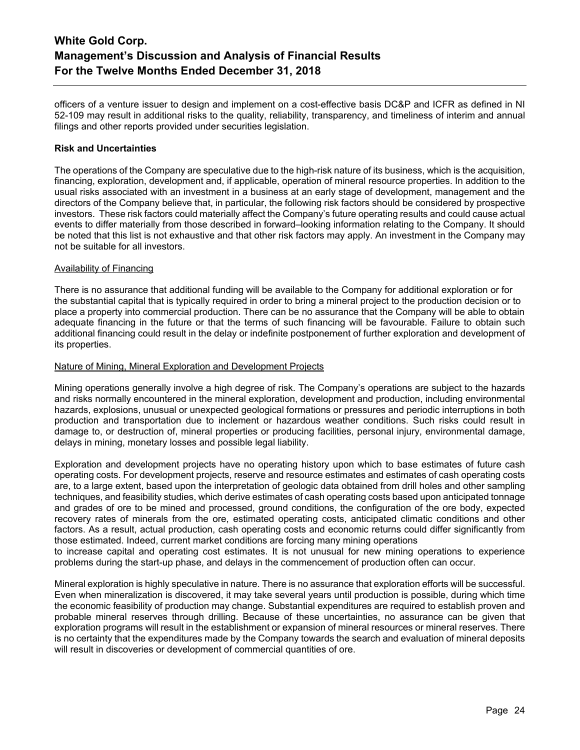officers of a venture issuer to design and implement on a cost-effective basis DC&P and ICFR as defined in NI 52-109 may result in additional risks to the quality, reliability, transparency, and timeliness of interim and annual filings and other reports provided under securities legislation.

### **Risk and Uncertainties**

The operations of the Company are speculative due to the high-risk nature of its business, which is the acquisition, financing, exploration, development and, if applicable, operation of mineral resource properties. In addition to the usual risks associated with an investment in a business at an early stage of development, management and the directors of the Company believe that, in particular, the following risk factors should be considered by prospective investors. These risk factors could materially affect the Company's future operating results and could cause actual events to differ materially from those described in forward–looking information relating to the Company. It should be noted that this list is not exhaustive and that other risk factors may apply. An investment in the Company may not be suitable for all investors.

### Availability of Financing

There is no assurance that additional funding will be available to the Company for additional exploration or for the substantial capital that is typically required in order to bring a mineral project to the production decision or to place a property into commercial production. There can be no assurance that the Company will be able to obtain adequate financing in the future or that the terms of such financing will be favourable. Failure to obtain such additional financing could result in the delay or indefinite postponement of further exploration and development of its properties.

### Nature of Mining, Mineral Exploration and Development Projects

Mining operations generally involve a high degree of risk. The Company's operations are subject to the hazards and risks normally encountered in the mineral exploration, development and production, including environmental hazards, explosions, unusual or unexpected geological formations or pressures and periodic interruptions in both production and transportation due to inclement or hazardous weather conditions. Such risks could result in damage to, or destruction of, mineral properties or producing facilities, personal injury, environmental damage, delays in mining, monetary losses and possible legal liability.

Exploration and development projects have no operating history upon which to base estimates of future cash operating costs. For development projects, reserve and resource estimates and estimates of cash operating costs are, to a large extent, based upon the interpretation of geologic data obtained from drill holes and other sampling techniques, and feasibility studies, which derive estimates of cash operating costs based upon anticipated tonnage and grades of ore to be mined and processed, ground conditions, the configuration of the ore body, expected recovery rates of minerals from the ore, estimated operating costs, anticipated climatic conditions and other factors. As a result, actual production, cash operating costs and economic returns could differ significantly from those estimated. Indeed, current market conditions are forcing many mining operations

to increase capital and operating cost estimates. It is not unusual for new mining operations to experience problems during the start-up phase, and delays in the commencement of production often can occur.

Mineral exploration is highly speculative in nature. There is no assurance that exploration efforts will be successful. Even when mineralization is discovered, it may take several years until production is possible, during which time the economic feasibility of production may change. Substantial expenditures are required to establish proven and probable mineral reserves through drilling. Because of these uncertainties, no assurance can be given that exploration programs will result in the establishment or expansion of mineral resources or mineral reserves. There is no certainty that the expenditures made by the Company towards the search and evaluation of mineral deposits will result in discoveries or development of commercial quantities of ore.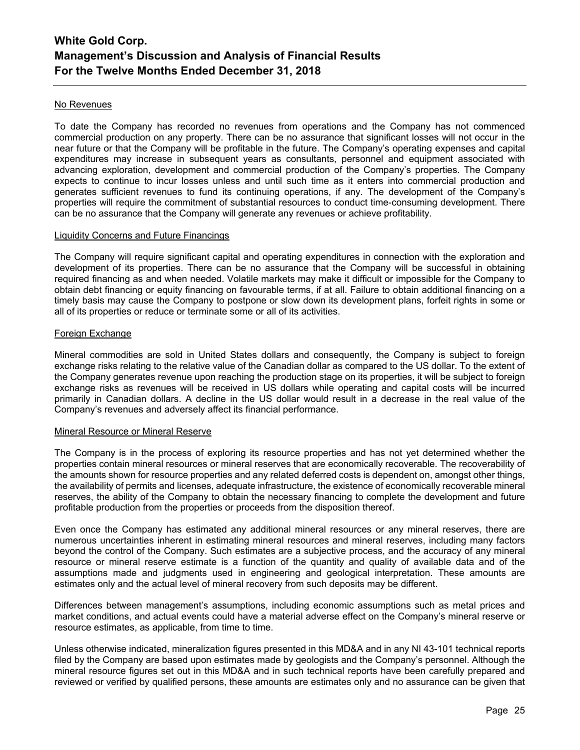### No Revenues

To date the Company has recorded no revenues from operations and the Company has not commenced commercial production on any property. There can be no assurance that significant losses will not occur in the near future or that the Company will be profitable in the future. The Company's operating expenses and capital expenditures may increase in subsequent years as consultants, personnel and equipment associated with advancing exploration, development and commercial production of the Company's properties. The Company expects to continue to incur losses unless and until such time as it enters into commercial production and generates sufficient revenues to fund its continuing operations, if any. The development of the Company's properties will require the commitment of substantial resources to conduct time-consuming development. There can be no assurance that the Company will generate any revenues or achieve profitability.

### Liquidity Concerns and Future Financings

The Company will require significant capital and operating expenditures in connection with the exploration and development of its properties. There can be no assurance that the Company will be successful in obtaining required financing as and when needed. Volatile markets may make it difficult or impossible for the Company to obtain debt financing or equity financing on favourable terms, if at all. Failure to obtain additional financing on a timely basis may cause the Company to postpone or slow down its development plans, forfeit rights in some or all of its properties or reduce or terminate some or all of its activities.

### Foreign Exchange

Mineral commodities are sold in United States dollars and consequently, the Company is subject to foreign exchange risks relating to the relative value of the Canadian dollar as compared to the US dollar. To the extent of the Company generates revenue upon reaching the production stage on its properties, it will be subject to foreign exchange risks as revenues will be received in US dollars while operating and capital costs will be incurred primarily in Canadian dollars. A decline in the US dollar would result in a decrease in the real value of the Company's revenues and adversely affect its financial performance.

#### Mineral Resource or Mineral Reserve

The Company is in the process of exploring its resource properties and has not yet determined whether the properties contain mineral resources or mineral reserves that are economically recoverable. The recoverability of the amounts shown for resource properties and any related deferred costs is dependent on, amongst other things, the availability of permits and licenses, adequate infrastructure, the existence of economically recoverable mineral reserves, the ability of the Company to obtain the necessary financing to complete the development and future profitable production from the properties or proceeds from the disposition thereof.

Even once the Company has estimated any additional mineral resources or any mineral reserves, there are numerous uncertainties inherent in estimating mineral resources and mineral reserves, including many factors beyond the control of the Company. Such estimates are a subjective process, and the accuracy of any mineral resource or mineral reserve estimate is a function of the quantity and quality of available data and of the assumptions made and judgments used in engineering and geological interpretation. These amounts are estimates only and the actual level of mineral recovery from such deposits may be different.

Differences between management's assumptions, including economic assumptions such as metal prices and market conditions, and actual events could have a material adverse effect on the Company's mineral reserve or resource estimates, as applicable, from time to time.

Unless otherwise indicated, mineralization figures presented in this MD&A and in any NI 43-101 technical reports filed by the Company are based upon estimates made by geologists and the Company's personnel. Although the mineral resource figures set out in this MD&A and in such technical reports have been carefully prepared and reviewed or verified by qualified persons, these amounts are estimates only and no assurance can be given that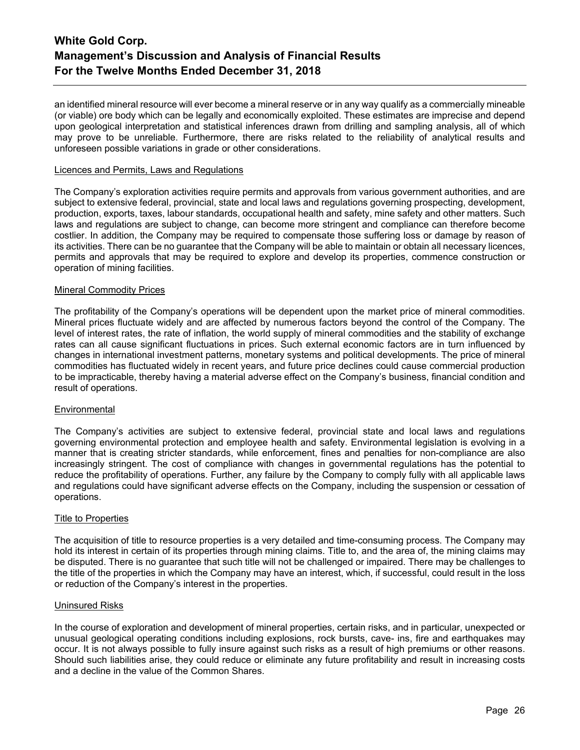an identified mineral resource will ever become a mineral reserve or in any way qualify as a commercially mineable (or viable) ore body which can be legally and economically exploited. These estimates are imprecise and depend upon geological interpretation and statistical inferences drawn from drilling and sampling analysis, all of which may prove to be unreliable. Furthermore, there are risks related to the reliability of analytical results and unforeseen possible variations in grade or other considerations.

#### Licences and Permits, Laws and Regulations

The Company's exploration activities require permits and approvals from various government authorities, and are subject to extensive federal, provincial, state and local laws and regulations governing prospecting, development, production, exports, taxes, labour standards, occupational health and safety, mine safety and other matters. Such laws and regulations are subject to change, can become more stringent and compliance can therefore become costlier. In addition, the Company may be required to compensate those suffering loss or damage by reason of its activities. There can be no guarantee that the Company will be able to maintain or obtain all necessary licences, permits and approvals that may be required to explore and develop its properties, commence construction or operation of mining facilities.

#### Mineral Commodity Prices

The profitability of the Company's operations will be dependent upon the market price of mineral commodities. Mineral prices fluctuate widely and are affected by numerous factors beyond the control of the Company. The level of interest rates, the rate of inflation, the world supply of mineral commodities and the stability of exchange rates can all cause significant fluctuations in prices. Such external economic factors are in turn influenced by changes in international investment patterns, monetary systems and political developments. The price of mineral commodities has fluctuated widely in recent years, and future price declines could cause commercial production to be impracticable, thereby having a material adverse effect on the Company's business, financial condition and result of operations.

### **Environmental**

The Company's activities are subject to extensive federal, provincial state and local laws and regulations governing environmental protection and employee health and safety. Environmental legislation is evolving in a manner that is creating stricter standards, while enforcement, fines and penalties for non-compliance are also increasingly stringent. The cost of compliance with changes in governmental regulations has the potential to reduce the profitability of operations. Further, any failure by the Company to comply fully with all applicable laws and regulations could have significant adverse effects on the Company, including the suspension or cessation of operations.

#### Title to Properties

The acquisition of title to resource properties is a very detailed and time-consuming process. The Company may hold its interest in certain of its properties through mining claims. Title to, and the area of, the mining claims may be disputed. There is no guarantee that such title will not be challenged or impaired. There may be challenges to the title of the properties in which the Company may have an interest, which, if successful, could result in the loss or reduction of the Company's interest in the properties.

#### Uninsured Risks

In the course of exploration and development of mineral properties, certain risks, and in particular, unexpected or unusual geological operating conditions including explosions, rock bursts, cave- ins, fire and earthquakes may occur. It is not always possible to fully insure against such risks as a result of high premiums or other reasons. Should such liabilities arise, they could reduce or eliminate any future profitability and result in increasing costs and a decline in the value of the Common Shares.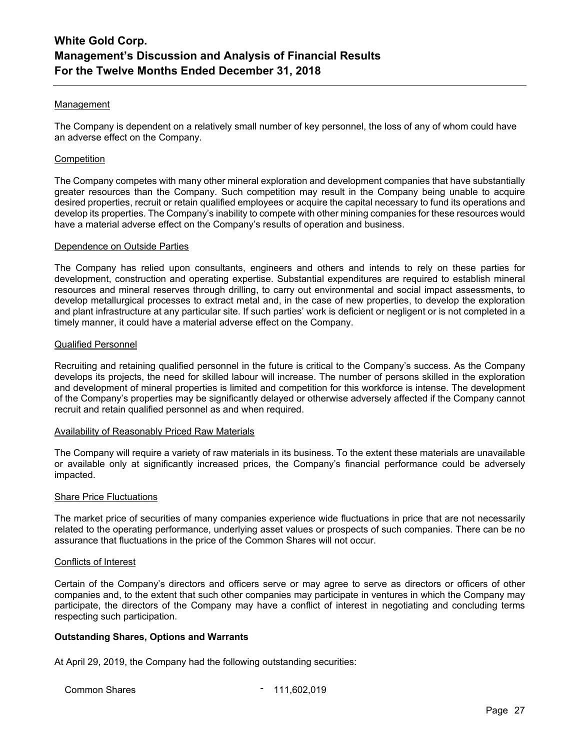### Management

The Company is dependent on a relatively small number of key personnel, the loss of any of whom could have an adverse effect on the Company.

#### **Competition**

The Company competes with many other mineral exploration and development companies that have substantially greater resources than the Company. Such competition may result in the Company being unable to acquire desired properties, recruit or retain qualified employees or acquire the capital necessary to fund its operations and develop its properties. The Company's inability to compete with other mining companies for these resources would have a material adverse effect on the Company's results of operation and business.

#### Dependence on Outside Parties

The Company has relied upon consultants, engineers and others and intends to rely on these parties for development, construction and operating expertise. Substantial expenditures are required to establish mineral resources and mineral reserves through drilling, to carry out environmental and social impact assessments, to develop metallurgical processes to extract metal and, in the case of new properties, to develop the exploration and plant infrastructure at any particular site. If such parties' work is deficient or negligent or is not completed in a timely manner, it could have a material adverse effect on the Company.

#### Qualified Personnel

Recruiting and retaining qualified personnel in the future is critical to the Company's success. As the Company develops its projects, the need for skilled labour will increase. The number of persons skilled in the exploration and development of mineral properties is limited and competition for this workforce is intense. The development of the Company's properties may be significantly delayed or otherwise adversely affected if the Company cannot recruit and retain qualified personnel as and when required.

#### Availability of Reasonably Priced Raw Materials

The Company will require a variety of raw materials in its business. To the extent these materials are unavailable or available only at significantly increased prices, the Company's financial performance could be adversely impacted.

#### Share Price Fluctuations

The market price of securities of many companies experience wide fluctuations in price that are not necessarily related to the operating performance, underlying asset values or prospects of such companies. There can be no assurance that fluctuations in the price of the Common Shares will not occur.

#### Conflicts of Interest

Certain of the Company's directors and officers serve or may agree to serve as directors or officers of other companies and, to the extent that such other companies may participate in ventures in which the Company may participate, the directors of the Company may have a conflict of interest in negotiating and concluding terms respecting such participation.

### **Outstanding Shares, Options and Warrants**

At April 29, 2019, the Company had the following outstanding securities:

Common Shares **- 111,602,019**